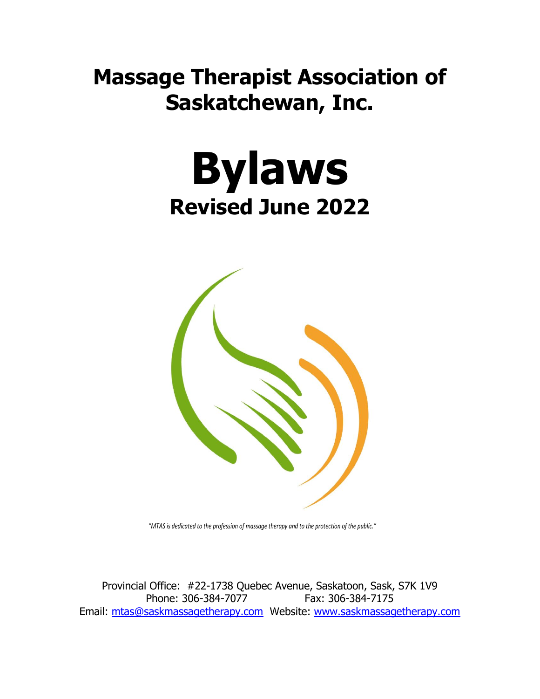# **Massage Therapist Association of Saskatchewan, Inc.**





*"MTAS is dedicated to the profession of massage therapy and to the protection of the public."*

Provincial Office: #22-1738 Quebec Avenue, Saskatoon, Sask, S7K 1V9 Phone: 306-384-7077 Fax: 306-384-7175 Email: [mtas@saskmassagetherapy.com](mailto:mtas@saskmassagetherapy.com) Website: [www.saskmassagetherapy.com](http://www.saskmassagetherapy.com/)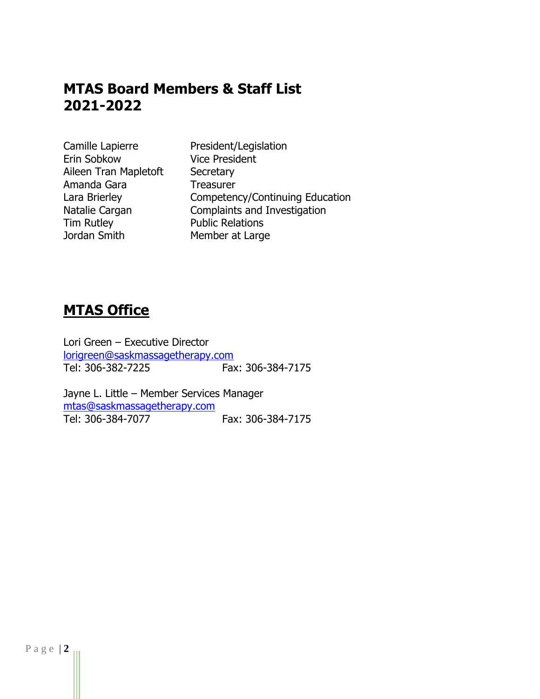# **MTAS Board Members & Staff List 2021-2022**

Camille Lapierre President/Legislation Erin Sobkow Vice President Aileen Tran Mapletoft Secretary Amanda Gara Treasurer Tim Rutley **Public Relations** Jordan Smith Member at Large

Lara Brierley **Competency/Continuing Education** Natalie Cargan Complaints and Investigation

# **MTAS Office**

Lori Green – Executive Director [lorigreen@saskmassagetherapy.com](mailto:lorigreen@saskmassagetherapy.com) Tel: 306-382-7225 Fax: 306-384-7175

Jayne L. Little – Member Services Manager [mtas@saskmassagetherapy.com](mailto:mtas@saskmassagetherapy.com)<br>Tel: 306-384-7077 Fax: 306-384-7175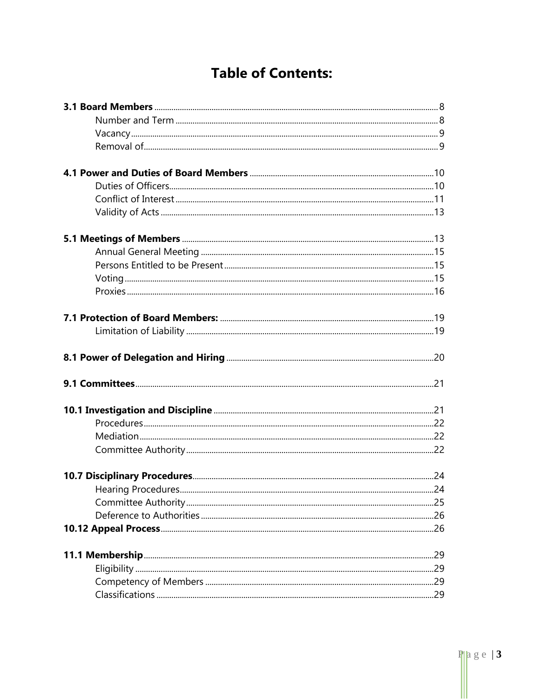# **Table of Contents:**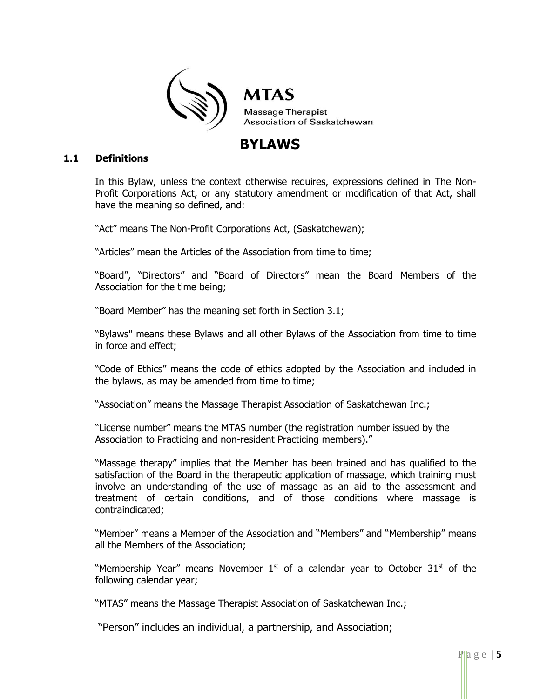

# **BYLAWS**

#### **1.1 Definitions**

In this Bylaw, unless the context otherwise requires, expressions defined in The Non-Profit Corporations Act, or any statutory amendment or modification of that Act, shall have the meaning so defined, and:

"Act" means The Non-Profit Corporations Act, (Saskatchewan);

"Articles" mean the Articles of the Association from time to time;

"Board", "Directors" and "Board of Directors" mean the Board Members of the Association for the time being;

"Board Member" has the meaning set forth in Section 3.1;

"Bylaws" means these Bylaws and all other Bylaws of the Association from time to time in force and effect;

"Code of Ethics" means the code of ethics adopted by the Association and included in the bylaws, as may be amended from time to time;

"Association" means the Massage Therapist Association of Saskatchewan Inc.;

"License number" means the MTAS number (the registration number issued by the Association to Practicing and non-resident Practicing members)."

"Massage therapy" implies that the Member has been trained and has qualified to the satisfaction of the Board in the therapeutic application of massage, which training must involve an understanding of the use of massage as an aid to the assessment and treatment of certain conditions, and of those conditions where massage is contraindicated;

"Member" means a Member of the Association and "Members" and "Membership" means all the Members of the Association;

"Membership Year" means November  $1<sup>st</sup>$  of a calendar year to October 31 $<sup>st</sup>$  of the</sup> following calendar year;

"MTAS" means the Massage Therapist Association of Saskatchewan Inc.;

"Person" includes an individual, a partnership, and Association;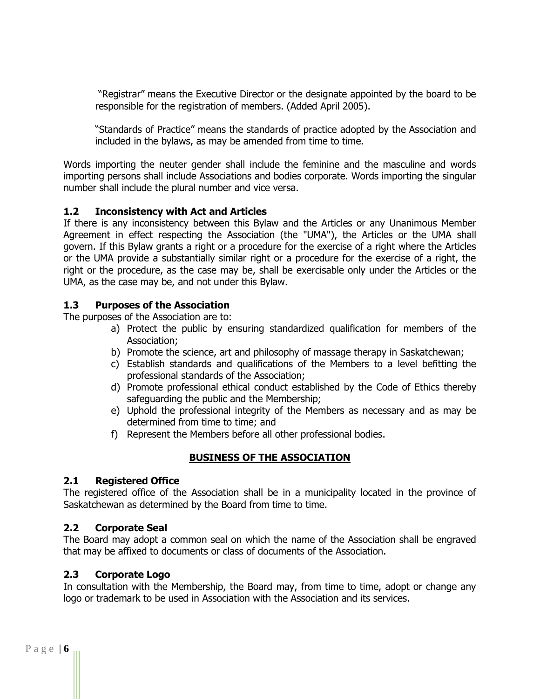"Registrar" means the Executive Director or the designate appointed by the board to be responsible for the registration of members. (Added April 2005).

"Standards of Practice" means the standards of practice adopted by the Association and included in the bylaws, as may be amended from time to time.

Words importing the neuter gender shall include the feminine and the masculine and words importing persons shall include Associations and bodies corporate. Words importing the singular number shall include the plural number and vice versa.

# **1.2 Inconsistency with Act and Articles**

If there is any inconsistency between this Bylaw and the Articles or any Unanimous Member Agreement in effect respecting the Association (the "UMA"), the Articles or the UMA shall govern. If this Bylaw grants a right or a procedure for the exercise of a right where the Articles or the UMA provide a substantially similar right or a procedure for the exercise of a right, the right or the procedure, as the case may be, shall be exercisable only under the Articles or the UMA, as the case may be, and not under this Bylaw.

#### **1.3 Purposes of the Association**

The purposes of the Association are to:

- a) Protect the public by ensuring standardized qualification for members of the Association;
- b) Promote the science, art and philosophy of massage therapy in Saskatchewan;
- c) Establish standards and qualifications of the Members to a level befitting the professional standards of the Association;
- d) Promote professional ethical conduct established by the Code of Ethics thereby safeguarding the public and the Membership;
- e) Uphold the professional integrity of the Members as necessary and as may be determined from time to time; and
- f) Represent the Members before all other professional bodies.

# **BUSINESS OF THE ASSOCIATION**

#### **2.1 Registered Office**

The registered office of the Association shall be in a municipality located in the province of Saskatchewan as determined by the Board from time to time.

#### **2.2 Corporate Seal**

The Board may adopt a common seal on which the name of the Association shall be engraved that may be affixed to documents or class of documents of the Association.

# **2.3 Corporate Logo**

In consultation with the Membership, the Board may, from time to time, adopt or change any logo or trademark to be used in Association with the Association and its services.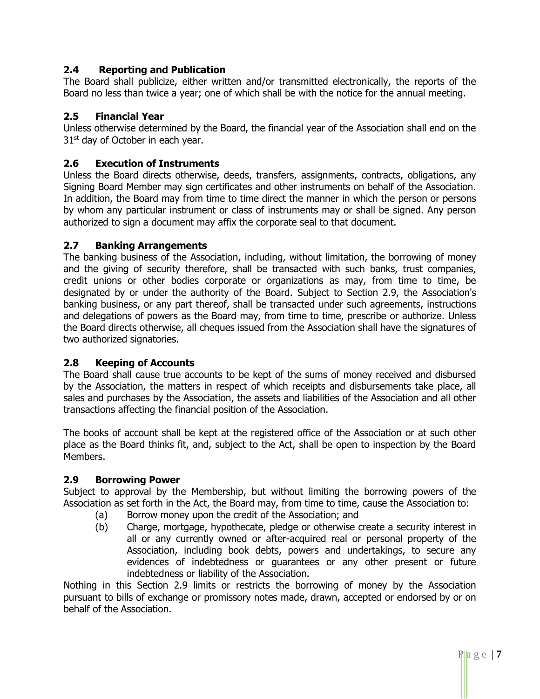# **2.4 Reporting and Publication**

The Board shall publicize, either written and/or transmitted electronically, the reports of the Board no less than twice a year; one of which shall be with the notice for the annual meeting.

# **2.5 Financial Year**

Unless otherwise determined by the Board, the financial year of the Association shall end on the  $31<sup>st</sup>$  day of October in each year.

#### **2.6 Execution of Instruments**

Unless the Board directs otherwise, deeds, transfers, assignments, contracts, obligations, any Signing Board Member may sign certificates and other instruments on behalf of the Association. In addition, the Board may from time to time direct the manner in which the person or persons by whom any particular instrument or class of instruments may or shall be signed. Any person authorized to sign a document may affix the corporate seal to that document.

#### **2.7 Banking Arrangements**

The banking business of the Association, including, without limitation, the borrowing of money and the giving of security therefore, shall be transacted with such banks, trust companies, credit unions or other bodies corporate or organizations as may, from time to time, be designated by or under the authority of the Board. Subject to Section 2.9, the Association's banking business, or any part thereof, shall be transacted under such agreements, instructions and delegations of powers as the Board may, from time to time, prescribe or authorize. Unless the Board directs otherwise, all cheques issued from the Association shall have the signatures of two authorized signatories.

# **2.8 Keeping of Accounts**

The Board shall cause true accounts to be kept of the sums of money received and disbursed by the Association, the matters in respect of which receipts and disbursements take place, all sales and purchases by the Association, the assets and liabilities of the Association and all other transactions affecting the financial position of the Association.

The books of account shall be kept at the registered office of the Association or at such other place as the Board thinks fit, and, subject to the Act, shall be open to inspection by the Board Members.

#### **2.9 Borrowing Power**

Subject to approval by the Membership, but without limiting the borrowing powers of the Association as set forth in the Act, the Board may, from time to time, cause the Association to:

- (a) Borrow money upon the credit of the Association; and
- (b) Charge, mortgage, hypothecate, pledge or otherwise create a security interest in all or any currently owned or after-acquired real or personal property of the Association, including book debts, powers and undertakings, to secure any evidences of indebtedness or guarantees or any other present or future indebtedness or liability of the Association.

Nothing in this Section 2.9 limits or restricts the borrowing of money by the Association pursuant to bills of exchange or promissory notes made, drawn, accepted or endorsed by or on behalf of the Association.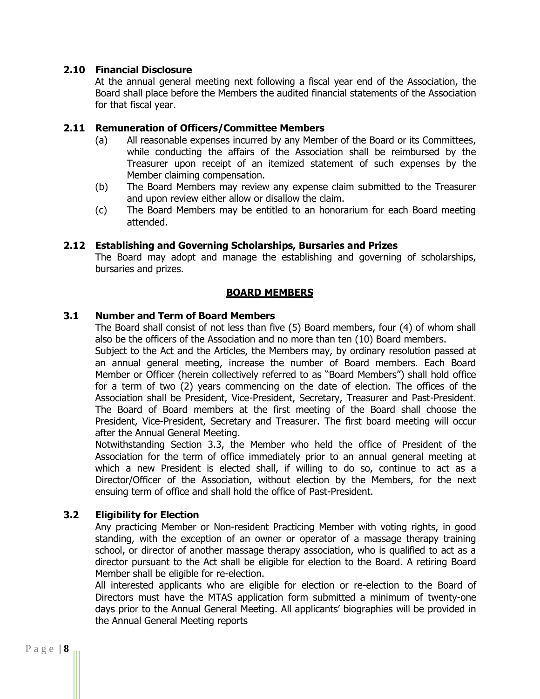#### **2.10 Financial Disclosure**

At the annual general meeting next following a fiscal year end of the Association, the Board shall place before the Members the audited financial statements of the Association for that fiscal year.

#### **2.11 Remuneration of Officers/Committee Members**

- (a) All reasonable expenses incurred by any Member of the Board or its Committees, while conducting the affairs of the Association shall be reimbursed by the Treasurer upon receipt of an itemized statement of such expenses by the Member claiming compensation.
- (b) The Board Members may review any expense claim submitted to the Treasurer and upon review either allow or disallow the claim.
- (c) The Board Members may be entitled to an honorarium for each Board meeting attended.

#### **2.12 Establishing and Governing Scholarships, Bursaries and Prizes**

The Board may adopt and manage the establishing and governing of scholarships, bursaries and prizes.

#### **BOARD MEMBERS**

#### **3.1 Number and Term of Board Members**

The Board shall consist of not less than five (5) Board members, four (4) of whom shall also be the officers of the Association and no more than ten (10) Board members.

Subject to the Act and the Articles, the Members may, by ordinary resolution passed at an annual general meeting, increase the number of Board members. Each Board Member or Officer (herein collectively referred to as "Board Members") shall hold office for a term of two (2) years commencing on the date of election. The offices of the Association shall be President, Vice-President, Secretary, Treasurer and Past-President. The Board of Board members at the first meeting of the Board shall choose the President, Vice-President, Secretary and Treasurer. The first board meeting will occur after the Annual General Meeting.

Notwithstanding Section 3.3, the Member who held the office of President of the Association for the term of office immediately prior to an annual general meeting at which a new President is elected shall, if willing to do so, continue to act as a Director/Officer of the Association, without election by the Members, for the next ensuing term of office and shall hold the office of Past-President.

# **3.2 Eligibility for Election**

Any practicing Member or Non-resident Practicing Member with voting rights, in good standing, with the exception of an owner or operator of a massage therapy training school, or director of another massage therapy association, who is qualified to act as a director pursuant to the Act shall be eligible for election to the Board. A retiring Board Member shall be eligible for re-election.

All interested applicants who are eligible for election or re-election to the Board of Directors must have the MTAS application form submitted a minimum of twenty-one days prior to the Annual General Meeting. All applicants' biographies will be provided in the Annual General Meeting reports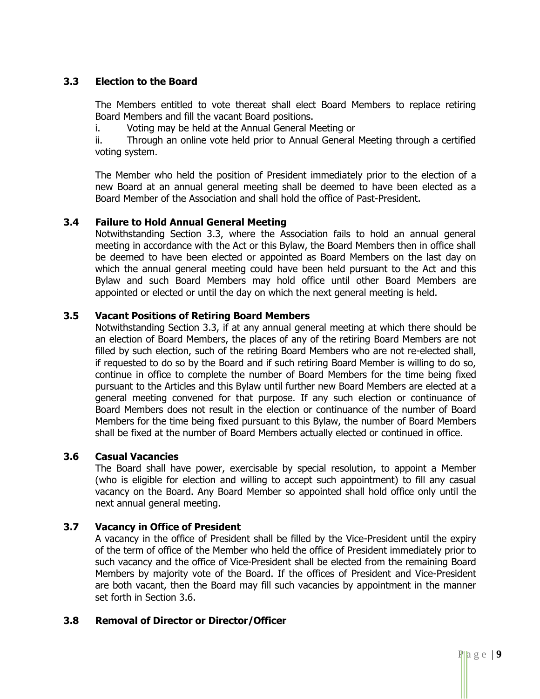#### **3.3 Election to the Board**

The Members entitled to vote thereat shall elect Board Members to replace retiring Board Members and fill the vacant Board positions.

i. Voting may be held at the Annual General Meeting or

ii. Through an online vote held prior to Annual General Meeting through a certified voting system.

The Member who held the position of President immediately prior to the election of a new Board at an annual general meeting shall be deemed to have been elected as a Board Member of the Association and shall hold the office of Past-President.

#### **3.4 Failure to Hold Annual General Meeting**

Notwithstanding Section 3.3, where the Association fails to hold an annual general meeting in accordance with the Act or this Bylaw, the Board Members then in office shall be deemed to have been elected or appointed as Board Members on the last day on which the annual general meeting could have been held pursuant to the Act and this Bylaw and such Board Members may hold office until other Board Members are appointed or elected or until the day on which the next general meeting is held.

#### **3.5 Vacant Positions of Retiring Board Members**

Notwithstanding Section 3.3, if at any annual general meeting at which there should be an election of Board Members, the places of any of the retiring Board Members are not filled by such election, such of the retiring Board Members who are not re-elected shall, if requested to do so by the Board and if such retiring Board Member is willing to do so, continue in office to complete the number of Board Members for the time being fixed pursuant to the Articles and this Bylaw until further new Board Members are elected at a general meeting convened for that purpose. If any such election or continuance of Board Members does not result in the election or continuance of the number of Board Members for the time being fixed pursuant to this Bylaw, the number of Board Members shall be fixed at the number of Board Members actually elected or continued in office.

#### **3.6 Casual Vacancies**

The Board shall have power, exercisable by special resolution, to appoint a Member (who is eligible for election and willing to accept such appointment) to fill any casual vacancy on the Board. Any Board Member so appointed shall hold office only until the next annual general meeting.

#### **3.7 Vacancy in Office of President**

A vacancy in the office of President shall be filled by the Vice-President until the expiry of the term of office of the Member who held the office of President immediately prior to such vacancy and the office of Vice-President shall be elected from the remaining Board Members by majority vote of the Board. If the offices of President and Vice-President are both vacant, then the Board may fill such vacancies by appointment in the manner set forth in Section 3.6.

#### **3.8 Removal of Director or Director/Officer**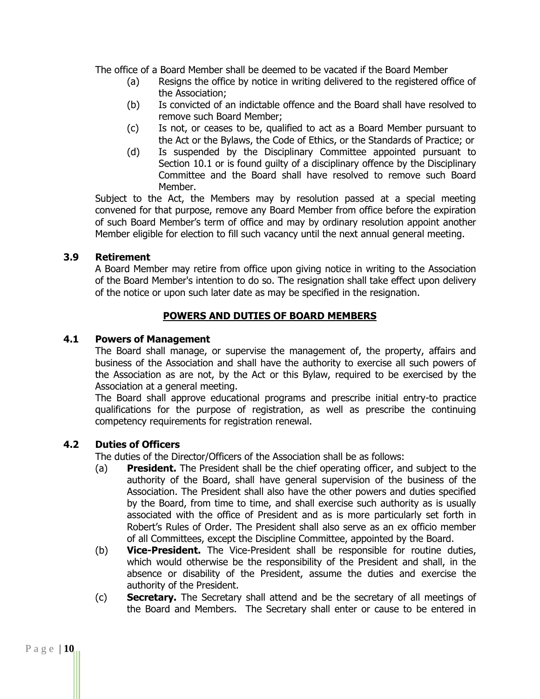The office of a Board Member shall be deemed to be vacated if the Board Member

- (a) Resigns the office by notice in writing delivered to the registered office of the Association;
- (b) Is convicted of an indictable offence and the Board shall have resolved to remove such Board Member;
- (c) Is not, or ceases to be, qualified to act as a Board Member pursuant to the Act or the Bylaws, the Code of Ethics, or the Standards of Practice; or
- (d) Is suspended by the Disciplinary Committee appointed pursuant to Section 10.1 or is found guilty of a disciplinary offence by the Disciplinary Committee and the Board shall have resolved to remove such Board Member.

Subject to the Act, the Members may by resolution passed at a special meeting convened for that purpose, remove any Board Member from office before the expiration of such Board Member's term of office and may by ordinary resolution appoint another Member eligible for election to fill such vacancy until the next annual general meeting.

#### **3.9 Retirement**

A Board Member may retire from office upon giving notice in writing to the Association of the Board Member's intention to do so. The resignation shall take effect upon delivery of the notice or upon such later date as may be specified in the resignation.

# **POWERS AND DUTIES OF BOARD MEMBERS**

#### **4.1 Powers of Management**

The Board shall manage, or supervise the management of, the property, affairs and business of the Association and shall have the authority to exercise all such powers of the Association as are not, by the Act or this Bylaw, required to be exercised by the Association at a general meeting.

The Board shall approve educational programs and prescribe initial entry-to practice qualifications for the purpose of registration, as well as prescribe the continuing competency requirements for registration renewal.

#### **4.2 Duties of Officers**

The duties of the Director/Officers of the Association shall be as follows:

- (a) **President.** The President shall be the chief operating officer, and subject to the authority of the Board, shall have general supervision of the business of the Association. The President shall also have the other powers and duties specified by the Board, from time to time, and shall exercise such authority as is usually associated with the office of President and as is more particularly set forth in Robert's Rules of Order. The President shall also serve as an ex officio member of all Committees, except the Discipline Committee, appointed by the Board.
- (b) **Vice-President.** The Vice-President shall be responsible for routine duties, which would otherwise be the responsibility of the President and shall, in the absence or disability of the President, assume the duties and exercise the authority of the President.
- (c) **Secretary.** The Secretary shall attend and be the secretary of all meetings of the Board and Members. The Secretary shall enter or cause to be entered in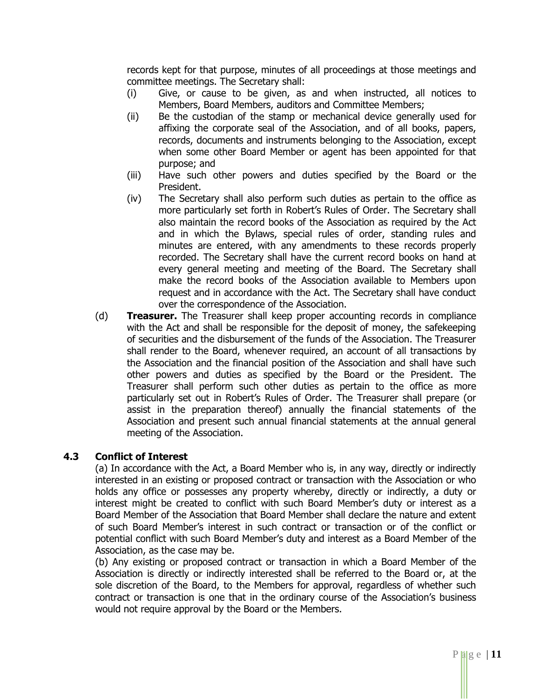records kept for that purpose, minutes of all proceedings at those meetings and committee meetings. The Secretary shall:

- (i) Give, or cause to be given, as and when instructed, all notices to Members, Board Members, auditors and Committee Members;
- (ii) Be the custodian of the stamp or mechanical device generally used for affixing the corporate seal of the Association, and of all books, papers, records, documents and instruments belonging to the Association, except when some other Board Member or agent has been appointed for that purpose; and
- (iii) Have such other powers and duties specified by the Board or the President.
- (iv) The Secretary shall also perform such duties as pertain to the office as more particularly set forth in Robert's Rules of Order. The Secretary shall also maintain the record books of the Association as required by the Act and in which the Bylaws, special rules of order, standing rules and minutes are entered, with any amendments to these records properly recorded. The Secretary shall have the current record books on hand at every general meeting and meeting of the Board. The Secretary shall make the record books of the Association available to Members upon request and in accordance with the Act. The Secretary shall have conduct over the correspondence of the Association.
- (d) **Treasurer.** The Treasurer shall keep proper accounting records in compliance with the Act and shall be responsible for the deposit of money, the safekeeping of securities and the disbursement of the funds of the Association. The Treasurer shall render to the Board, whenever required, an account of all transactions by the Association and the financial position of the Association and shall have such other powers and duties as specified by the Board or the President. The Treasurer shall perform such other duties as pertain to the office as more particularly set out in Robert's Rules of Order. The Treasurer shall prepare (or assist in the preparation thereof) annually the financial statements of the Association and present such annual financial statements at the annual general meeting of the Association.

#### **4.3 Conflict of Interest**

(a) In accordance with the Act, a Board Member who is, in any way, directly or indirectly interested in an existing or proposed contract or transaction with the Association or who holds any office or possesses any property whereby, directly or indirectly, a duty or interest might be created to conflict with such Board Member's duty or interest as a Board Member of the Association that Board Member shall declare the nature and extent of such Board Member's interest in such contract or transaction or of the conflict or potential conflict with such Board Member's duty and interest as a Board Member of the Association, as the case may be.

(b) Any existing or proposed contract or transaction in which a Board Member of the Association is directly or indirectly interested shall be referred to the Board or, at the sole discretion of the Board, to the Members for approval, regardless of whether such contract or transaction is one that in the ordinary course of the Association's business would not require approval by the Board or the Members.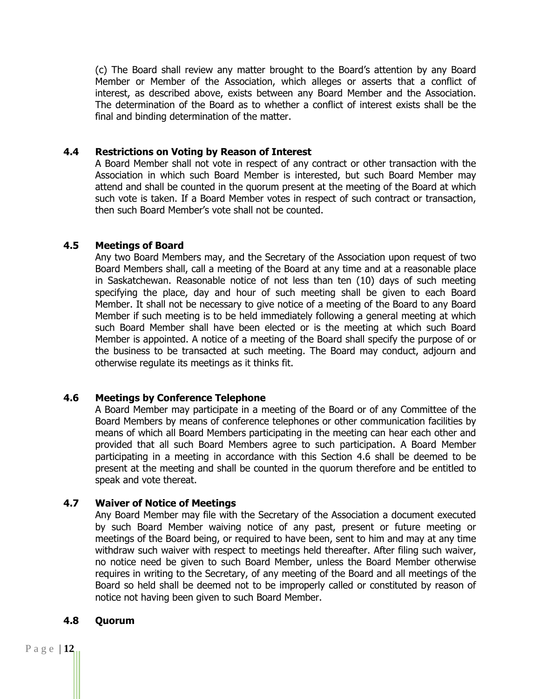(c) The Board shall review any matter brought to the Board's attention by any Board Member or Member of the Association, which alleges or asserts that a conflict of interest, as described above, exists between any Board Member and the Association. The determination of the Board as to whether a conflict of interest exists shall be the final and binding determination of the matter.

#### **4.4 Restrictions on Voting by Reason of Interest**

A Board Member shall not vote in respect of any contract or other transaction with the Association in which such Board Member is interested, but such Board Member may attend and shall be counted in the quorum present at the meeting of the Board at which such vote is taken. If a Board Member votes in respect of such contract or transaction, then such Board Member's vote shall not be counted.

#### **4.5 Meetings of Board**

Any two Board Members may, and the Secretary of the Association upon request of two Board Members shall, call a meeting of the Board at any time and at a reasonable place in Saskatchewan. Reasonable notice of not less than ten (10) days of such meeting specifying the place, day and hour of such meeting shall be given to each Board Member. It shall not be necessary to give notice of a meeting of the Board to any Board Member if such meeting is to be held immediately following a general meeting at which such Board Member shall have been elected or is the meeting at which such Board Member is appointed. A notice of a meeting of the Board shall specify the purpose of or the business to be transacted at such meeting. The Board may conduct, adjourn and otherwise regulate its meetings as it thinks fit.

#### **4.6 Meetings by Conference Telephone**

A Board Member may participate in a meeting of the Board or of any Committee of the Board Members by means of conference telephones or other communication facilities by means of which all Board Members participating in the meeting can hear each other and provided that all such Board Members agree to such participation. A Board Member participating in a meeting in accordance with this Section 4.6 shall be deemed to be present at the meeting and shall be counted in the quorum therefore and be entitled to speak and vote thereat.

#### **4.7 Waiver of Notice of Meetings**

Any Board Member may file with the Secretary of the Association a document executed by such Board Member waiving notice of any past, present or future meeting or meetings of the Board being, or required to have been, sent to him and may at any time withdraw such waiver with respect to meetings held thereafter. After filing such waiver, no notice need be given to such Board Member, unless the Board Member otherwise requires in writing to the Secretary, of any meeting of the Board and all meetings of the Board so held shall be deemed not to be improperly called or constituted by reason of notice not having been given to such Board Member.

#### **4.8 Quorum**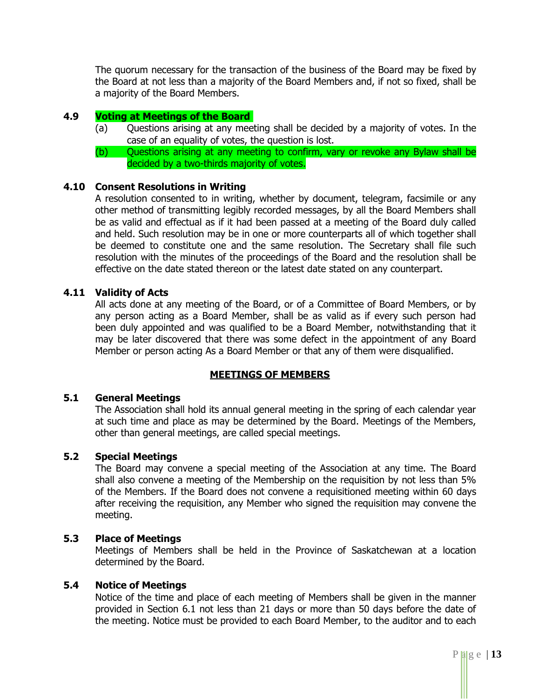The quorum necessary for the transaction of the business of the Board may be fixed by the Board at not less than a majority of the Board Members and, if not so fixed, shall be a majority of the Board Members.

#### **4.9 Voting at Meetings of the Board**

- (a) Questions arising at any meeting shall be decided by a majority of votes. In the case of an equality of votes, the question is lost.
- (b) Questions arising at any meeting to confirm, vary or revoke any Bylaw shall be decided by a two-thirds majority of votes.

#### **4.10 Consent Resolutions in Writing**

A resolution consented to in writing, whether by document, telegram, facsimile or any other method of transmitting legibly recorded messages, by all the Board Members shall be as valid and effectual as if it had been passed at a meeting of the Board duly called and held. Such resolution may be in one or more counterparts all of which together shall be deemed to constitute one and the same resolution. The Secretary shall file such resolution with the minutes of the proceedings of the Board and the resolution shall be effective on the date stated thereon or the latest date stated on any counterpart.

#### **4.11 Validity of Acts**

All acts done at any meeting of the Board, or of a Committee of Board Members, or by any person acting as a Board Member, shall be as valid as if every such person had been duly appointed and was qualified to be a Board Member, notwithstanding that it may be later discovered that there was some defect in the appointment of any Board Member or person acting As a Board Member or that any of them were disqualified.

#### **MEETINGS OF MEMBERS**

#### **5.1 General Meetings**

The Association shall hold its annual general meeting in the spring of each calendar year at such time and place as may be determined by the Board. Meetings of the Members, other than general meetings, are called special meetings.

#### **5.2 Special Meetings**

The Board may convene a special meeting of the Association at any time. The Board shall also convene a meeting of the Membership on the requisition by not less than 5% of the Members. If the Board does not convene a requisitioned meeting within 60 days after receiving the requisition, any Member who signed the requisition may convene the meeting.

#### **5.3 Place of Meetings**

Meetings of Members shall be held in the Province of Saskatchewan at a location determined by the Board.

#### **5.4 Notice of Meetings**

Notice of the time and place of each meeting of Members shall be given in the manner provided in Section 6.1 not less than 21 days or more than 50 days before the date of the meeting. Notice must be provided to each Board Member, to the auditor and to each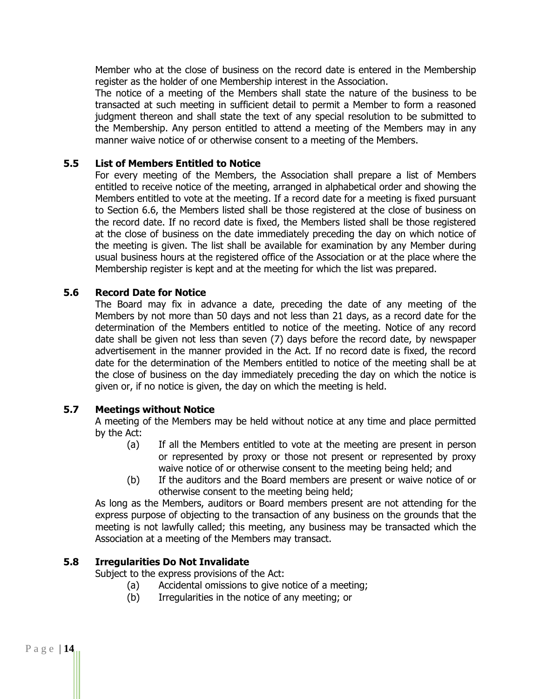Member who at the close of business on the record date is entered in the Membership register as the holder of one Membership interest in the Association.

The notice of a meeting of the Members shall state the nature of the business to be transacted at such meeting in sufficient detail to permit a Member to form a reasoned judgment thereon and shall state the text of any special resolution to be submitted to the Membership. Any person entitled to attend a meeting of the Members may in any manner waive notice of or otherwise consent to a meeting of the Members.

#### **5.5 List of Members Entitled to Notice**

For every meeting of the Members, the Association shall prepare a list of Members entitled to receive notice of the meeting, arranged in alphabetical order and showing the Members entitled to vote at the meeting. If a record date for a meeting is fixed pursuant to Section 6.6, the Members listed shall be those registered at the close of business on the record date. If no record date is fixed, the Members listed shall be those registered at the close of business on the date immediately preceding the day on which notice of the meeting is given. The list shall be available for examination by any Member during usual business hours at the registered office of the Association or at the place where the Membership register is kept and at the meeting for which the list was prepared.

#### **5.6 Record Date for Notice**

The Board may fix in advance a date, preceding the date of any meeting of the Members by not more than 50 days and not less than 21 days, as a record date for the determination of the Members entitled to notice of the meeting. Notice of any record date shall be given not less than seven (7) days before the record date, by newspaper advertisement in the manner provided in the Act. If no record date is fixed, the record date for the determination of the Members entitled to notice of the meeting shall be at the close of business on the day immediately preceding the day on which the notice is given or, if no notice is given, the day on which the meeting is held.

#### **5.7 Meetings without Notice**

A meeting of the Members may be held without notice at any time and place permitted by the Act:

- (a) If all the Members entitled to vote at the meeting are present in person or represented by proxy or those not present or represented by proxy waive notice of or otherwise consent to the meeting being held; and
- (b) If the auditors and the Board members are present or waive notice of or otherwise consent to the meeting being held;

As long as the Members, auditors or Board members present are not attending for the express purpose of objecting to the transaction of any business on the grounds that the meeting is not lawfully called; this meeting, any business may be transacted which the Association at a meeting of the Members may transact.

# **5.8 Irregularities Do Not Invalidate**

Subject to the express provisions of the Act:

- (a) Accidental omissions to give notice of a meeting;
- (b) Irregularities in the notice of any meeting; or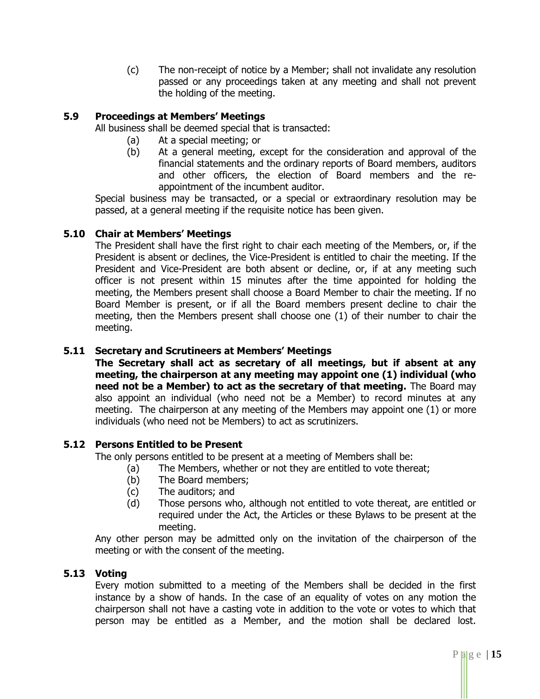(c) The non-receipt of notice by a Member; shall not invalidate any resolution passed or any proceedings taken at any meeting and shall not prevent the holding of the meeting.

# **5.9 Proceedings at Members' Meetings**

All business shall be deemed special that is transacted:

- (a) At a special meeting; or
- (b) At a general meeting, except for the consideration and approval of the financial statements and the ordinary reports of Board members, auditors and other officers, the election of Board members and the reappointment of the incumbent auditor.

Special business may be transacted, or a special or extraordinary resolution may be passed, at a general meeting if the requisite notice has been given.

#### **5.10 Chair at Members' Meetings**

The President shall have the first right to chair each meeting of the Members, or, if the President is absent or declines, the Vice-President is entitled to chair the meeting. If the President and Vice-President are both absent or decline, or, if at any meeting such officer is not present within 15 minutes after the time appointed for holding the meeting, the Members present shall choose a Board Member to chair the meeting. If no Board Member is present, or if all the Board members present decline to chair the meeting, then the Members present shall choose one (1) of their number to chair the meeting.

#### **5.11 Secretary and Scrutineers at Members' Meetings**

**The Secretary shall act as secretary of all meetings, but if absent at any meeting, the chairperson at any meeting may appoint one (1) individual (who need not be a Member) to act as the secretary of that meeting.** The Board may also appoint an individual (who need not be a Member) to record minutes at any meeting. The chairperson at any meeting of the Members may appoint one (1) or more individuals (who need not be Members) to act as scrutinizers.

# **5.12 Persons Entitled to be Present**

The only persons entitled to be present at a meeting of Members shall be:

- (a) The Members, whether or not they are entitled to vote thereat;
- (b) The Board members;
- (c) The auditors; and
- (d) Those persons who, although not entitled to vote thereat, are entitled or required under the Act, the Articles or these Bylaws to be present at the meeting.

Any other person may be admitted only on the invitation of the chairperson of the meeting or with the consent of the meeting.

#### **5.13 Voting**

Every motion submitted to a meeting of the Members shall be decided in the first instance by a show of hands. In the case of an equality of votes on any motion the chairperson shall not have a casting vote in addition to the vote or votes to which that person may be entitled as a Member, and the motion shall be declared lost.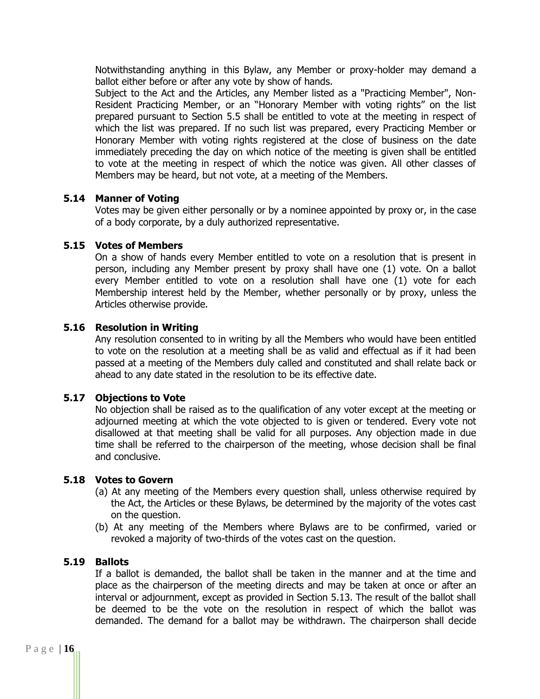Notwithstanding anything in this Bylaw, any Member or proxy-holder may demand a ballot either before or after any vote by show of hands.

Subject to the Act and the Articles, any Member listed as a "Practicing Member", Non-Resident Practicing Member, or an "Honorary Member with voting rights" on the list prepared pursuant to Section 5.5 shall be entitled to vote at the meeting in respect of which the list was prepared. If no such list was prepared, every Practicing Member or Honorary Member with voting rights registered at the close of business on the date immediately preceding the day on which notice of the meeting is given shall be entitled to vote at the meeting in respect of which the notice was given. All other classes of Members may be heard, but not vote, at a meeting of the Members.

#### **5.14 Manner of Voting**

Votes may be given either personally or by a nominee appointed by proxy or, in the case of a body corporate, by a duly authorized representative.

#### **5.15 Votes of Members**

On a show of hands every Member entitled to vote on a resolution that is present in person, including any Member present by proxy shall have one (1) vote. On a ballot every Member entitled to vote on a resolution shall have one (1) vote for each Membership interest held by the Member, whether personally or by proxy, unless the Articles otherwise provide.

#### **5.16 Resolution in Writing**

Any resolution consented to in writing by all the Members who would have been entitled to vote on the resolution at a meeting shall be as valid and effectual as if it had been passed at a meeting of the Members duly called and constituted and shall relate back or ahead to any date stated in the resolution to be its effective date.

#### **5.17 Objections to Vote**

No objection shall be raised as to the qualification of any voter except at the meeting or adjourned meeting at which the vote objected to is given or tendered. Every vote not disallowed at that meeting shall be valid for all purposes. Any objection made in due time shall be referred to the chairperson of the meeting, whose decision shall be final and conclusive.

#### **5.18 Votes to Govern**

- (a) At any meeting of the Members every question shall, unless otherwise required by the Act, the Articles or these Bylaws, be determined by the majority of the votes cast on the question.
- (b) At any meeting of the Members where Bylaws are to be confirmed, varied or revoked a majority of two-thirds of the votes cast on the question.

#### **5.19 Ballots**

If a ballot is demanded, the ballot shall be taken in the manner and at the time and place as the chairperson of the meeting directs and may be taken at once or after an interval or adjournment, except as provided in Section 5.13. The result of the ballot shall be deemed to be the vote on the resolution in respect of which the ballot was demanded. The demand for a ballot may be withdrawn. The chairperson shall decide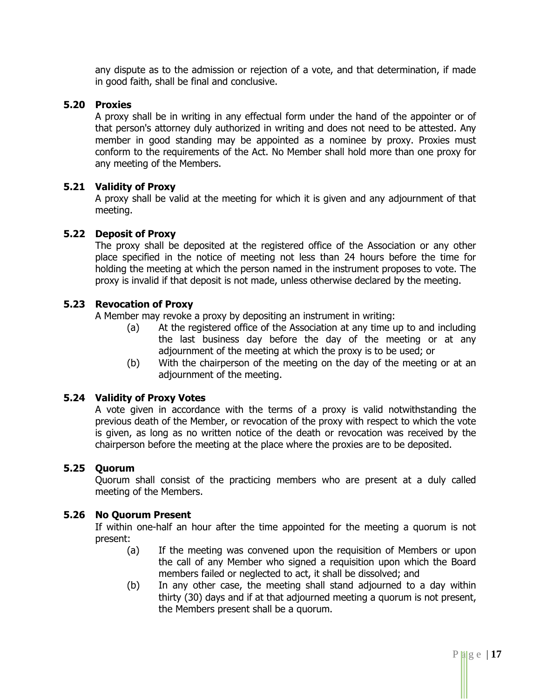any dispute as to the admission or rejection of a vote, and that determination, if made in good faith, shall be final and conclusive.

#### **5.20 Proxies**

A proxy shall be in writing in any effectual form under the hand of the appointer or of that person's attorney duly authorized in writing and does not need to be attested. Any member in good standing may be appointed as a nominee by proxy. Proxies must conform to the requirements of the Act. No Member shall hold more than one proxy for any meeting of the Members.

#### **5.21 Validity of Proxy**

A proxy shall be valid at the meeting for which it is given and any adjournment of that meeting.

#### **5.22 Deposit of Proxy**

The proxy shall be deposited at the registered office of the Association or any other place specified in the notice of meeting not less than 24 hours before the time for holding the meeting at which the person named in the instrument proposes to vote. The proxy is invalid if that deposit is not made, unless otherwise declared by the meeting.

#### **5.23 Revocation of Proxy**

A Member may revoke a proxy by depositing an instrument in writing:

- (a) At the registered office of the Association at any time up to and including the last business day before the day of the meeting or at any adjournment of the meeting at which the proxy is to be used; or
- (b) With the chairperson of the meeting on the day of the meeting or at an adjournment of the meeting.

#### **5.24 Validity of Proxy Votes**

A vote given in accordance with the terms of a proxy is valid notwithstanding the previous death of the Member, or revocation of the proxy with respect to which the vote is given, as long as no written notice of the death or revocation was received by the chairperson before the meeting at the place where the proxies are to be deposited.

#### **5.25 Quorum**

Quorum shall consist of the practicing members who are present at a duly called meeting of the Members.

#### **5.26 No Quorum Present**

If within one-half an hour after the time appointed for the meeting a quorum is not present:

- (a) If the meeting was convened upon the requisition of Members or upon the call of any Member who signed a requisition upon which the Board members failed or neglected to act, it shall be dissolved; and
- (b) In any other case, the meeting shall stand adjourned to a day within thirty (30) days and if at that adjourned meeting a quorum is not present, the Members present shall be a quorum.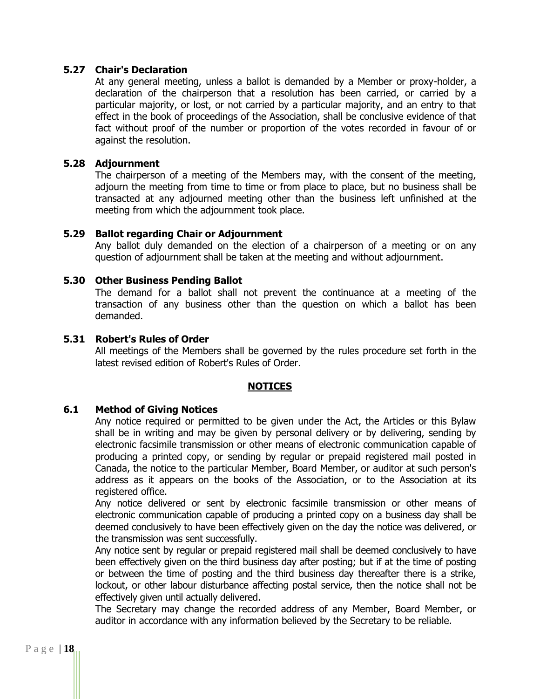#### **5.27 Chair's Declaration**

At any general meeting, unless a ballot is demanded by a Member or proxy-holder, a declaration of the chairperson that a resolution has been carried, or carried by a particular majority, or lost, or not carried by a particular majority, and an entry to that effect in the book of proceedings of the Association, shall be conclusive evidence of that fact without proof of the number or proportion of the votes recorded in favour of or against the resolution.

#### **5.28 Adjournment**

The chairperson of a meeting of the Members may, with the consent of the meeting, adjourn the meeting from time to time or from place to place, but no business shall be transacted at any adjourned meeting other than the business left unfinished at the meeting from which the adjournment took place.

#### **5.29 Ballot regarding Chair or Adjournment**

Any ballot duly demanded on the election of a chairperson of a meeting or on any question of adjournment shall be taken at the meeting and without adjournment.

#### **5.30 Other Business Pending Ballot**

The demand for a ballot shall not prevent the continuance at a meeting of the transaction of any business other than the question on which a ballot has been demanded.

#### **5.31 Robert's Rules of Order**

All meetings of the Members shall be governed by the rules procedure set forth in the latest revised edition of Robert's Rules of Order.

#### **NOTICES**

#### **6.1 Method of Giving Notices**

Any notice required or permitted to be given under the Act, the Articles or this Bylaw shall be in writing and may be given by personal delivery or by delivering, sending by electronic facsimile transmission or other means of electronic communication capable of producing a printed copy, or sending by regular or prepaid registered mail posted in Canada, the notice to the particular Member, Board Member, or auditor at such person's address as it appears on the books of the Association, or to the Association at its registered office.

Any notice delivered or sent by electronic facsimile transmission or other means of electronic communication capable of producing a printed copy on a business day shall be deemed conclusively to have been effectively given on the day the notice was delivered, or the transmission was sent successfully.

Any notice sent by regular or prepaid registered mail shall be deemed conclusively to have been effectively given on the third business day after posting; but if at the time of posting or between the time of posting and the third business day thereafter there is a strike, lockout, or other labour disturbance affecting postal service, then the notice shall not be effectively given until actually delivered.

The Secretary may change the recorded address of any Member, Board Member, or auditor in accordance with any information believed by the Secretary to be reliable.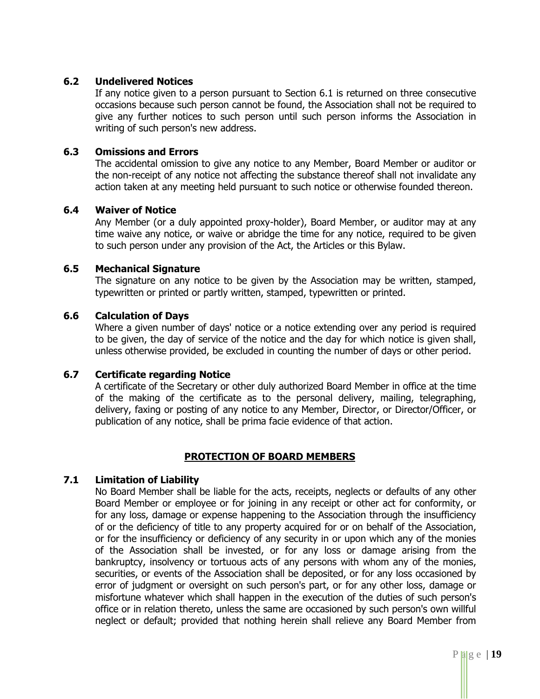#### **6.2 Undelivered Notices**

If any notice given to a person pursuant to Section 6.1 is returned on three consecutive occasions because such person cannot be found, the Association shall not be required to give any further notices to such person until such person informs the Association in writing of such person's new address.

#### **6.3 Omissions and Errors**

The accidental omission to give any notice to any Member, Board Member or auditor or the non-receipt of any notice not affecting the substance thereof shall not invalidate any action taken at any meeting held pursuant to such notice or otherwise founded thereon.

#### **6.4 Waiver of Notice**

Any Member (or a duly appointed proxy-holder), Board Member, or auditor may at any time waive any notice, or waive or abridge the time for any notice, required to be given to such person under any provision of the Act, the Articles or this Bylaw.

#### **6.5 Mechanical Signature**

The signature on any notice to be given by the Association may be written, stamped, typewritten or printed or partly written, stamped, typewritten or printed.

#### **6.6 Calculation of Days**

Where a given number of days' notice or a notice extending over any period is required to be given, the day of service of the notice and the day for which notice is given shall, unless otherwise provided, be excluded in counting the number of days or other period.

#### **6.7 Certificate regarding Notice**

A certificate of the Secretary or other duly authorized Board Member in office at the time of the making of the certificate as to the personal delivery, mailing, telegraphing, delivery, faxing or posting of any notice to any Member, Director, or Director/Officer, or publication of any notice, shall be prima facie evidence of that action.

# **PROTECTION OF BOARD MEMBERS**

# **7.1 Limitation of Liability**

No Board Member shall be liable for the acts, receipts, neglects or defaults of any other Board Member or employee or for joining in any receipt or other act for conformity, or for any loss, damage or expense happening to the Association through the insufficiency of or the deficiency of title to any property acquired for or on behalf of the Association, or for the insufficiency or deficiency of any security in or upon which any of the monies of the Association shall be invested, or for any loss or damage arising from the bankruptcy, insolvency or tortuous acts of any persons with whom any of the monies, securities, or events of the Association shall be deposited, or for any loss occasioned by error of judgment or oversight on such person's part, or for any other loss, damage or misfortune whatever which shall happen in the execution of the duties of such person's office or in relation thereto, unless the same are occasioned by such person's own willful neglect or default; provided that nothing herein shall relieve any Board Member from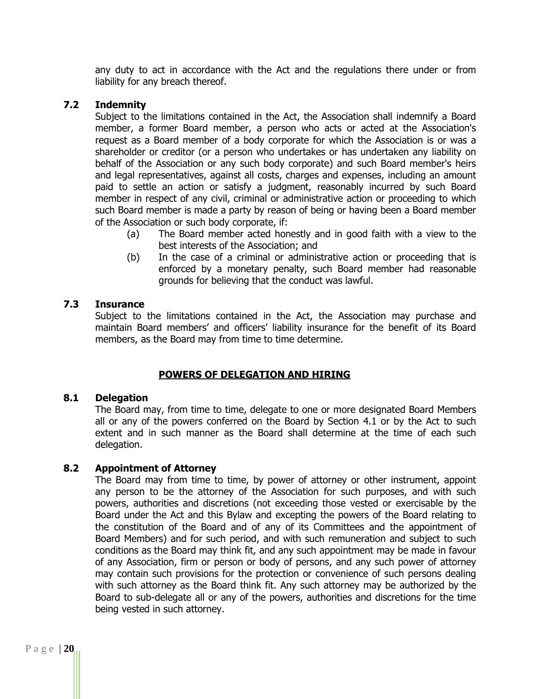any duty to act in accordance with the Act and the regulations there under or from liability for any breach thereof.

#### **7.2 Indemnity**

Subject to the limitations contained in the Act, the Association shall indemnify a Board member, a former Board member, a person who acts or acted at the Association's request as a Board member of a body corporate for which the Association is or was a shareholder or creditor (or a person who undertakes or has undertaken any liability on behalf of the Association or any such body corporate) and such Board member's heirs and legal representatives, against all costs, charges and expenses, including an amount paid to settle an action or satisfy a judgment, reasonably incurred by such Board member in respect of any civil, criminal or administrative action or proceeding to which such Board member is made a party by reason of being or having been a Board member of the Association or such body corporate, if:

- (a) The Board member acted honestly and in good faith with a view to the best interests of the Association; and
- (b) In the case of a criminal or administrative action or proceeding that is enforced by a monetary penalty, such Board member had reasonable grounds for believing that the conduct was lawful.

#### **7.3 Insurance**

Subject to the limitations contained in the Act, the Association may purchase and maintain Board members' and officers' liability insurance for the benefit of its Board members, as the Board may from time to time determine.

# **POWERS OF DELEGATION AND HIRING**

#### **8.1 Delegation**

The Board may, from time to time, delegate to one or more designated Board Members all or any of the powers conferred on the Board by Section 4.1 or by the Act to such extent and in such manner as the Board shall determine at the time of each such delegation.

#### **8.2 Appointment of Attorney**

The Board may from time to time, by power of attorney or other instrument, appoint any person to be the attorney of the Association for such purposes, and with such powers, authorities and discretions (not exceeding those vested or exercisable by the Board under the Act and this Bylaw and excepting the powers of the Board relating to the constitution of the Board and of any of its Committees and the appointment of Board Members) and for such period, and with such remuneration and subject to such conditions as the Board may think fit, and any such appointment may be made in favour of any Association, firm or person or body of persons, and any such power of attorney may contain such provisions for the protection or convenience of such persons dealing with such attorney as the Board think fit. Any such attorney may be authorized by the Board to sub-delegate all or any of the powers, authorities and discretions for the time being vested in such attorney.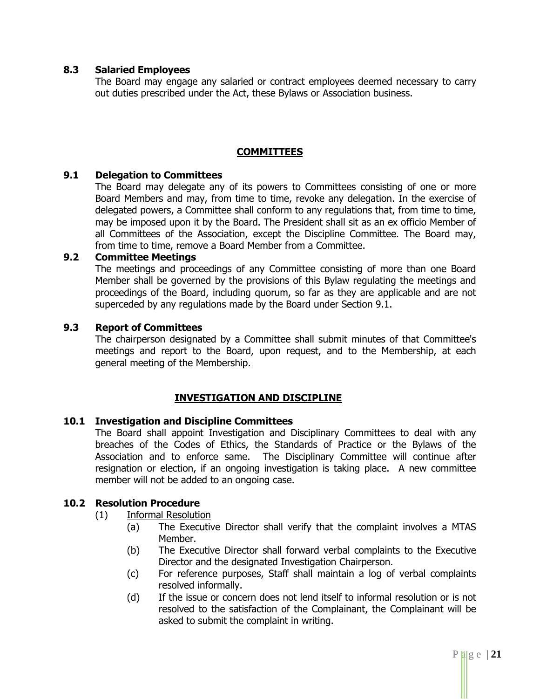#### **8.3 Salaried Employees**

The Board may engage any salaried or contract employees deemed necessary to carry out duties prescribed under the Act, these Bylaws or Association business.

#### **COMMITTEES**

#### **9.1 Delegation to Committees**

The Board may delegate any of its powers to Committees consisting of one or more Board Members and may, from time to time, revoke any delegation. In the exercise of delegated powers, a Committee shall conform to any regulations that, from time to time, may be imposed upon it by the Board. The President shall sit as an ex officio Member of all Committees of the Association, except the Discipline Committee. The Board may, from time to time, remove a Board Member from a Committee.

#### **9.2 Committee Meetings**

The meetings and proceedings of any Committee consisting of more than one Board Member shall be governed by the provisions of this Bylaw regulating the meetings and proceedings of the Board, including quorum, so far as they are applicable and are not superceded by any regulations made by the Board under Section 9.1.

#### **9.3 Report of Committees**

The chairperson designated by a Committee shall submit minutes of that Committee's meetings and report to the Board, upon request, and to the Membership, at each general meeting of the Membership.

# **INVESTIGATION AND DISCIPLINE**

#### **10.1 Investigation and Discipline Committees**

The Board shall appoint Investigation and Disciplinary Committees to deal with any breaches of the Codes of Ethics, the Standards of Practice or the Bylaws of the Association and to enforce same. The Disciplinary Committee will continue after resignation or election, if an ongoing investigation is taking place. A new committee member will not be added to an ongoing case.

# **10.2 Resolution Procedure**

- (1) Informal Resolution
	- (a) The Executive Director shall verify that the complaint involves a MTAS Member.
	- (b) The Executive Director shall forward verbal complaints to the Executive Director and the designated Investigation Chairperson.
	- (c) For reference purposes, Staff shall maintain a log of verbal complaints resolved informally.
	- (d) If the issue or concern does not lend itself to informal resolution or is not resolved to the satisfaction of the Complainant, the Complainant will be asked to submit the complaint in writing.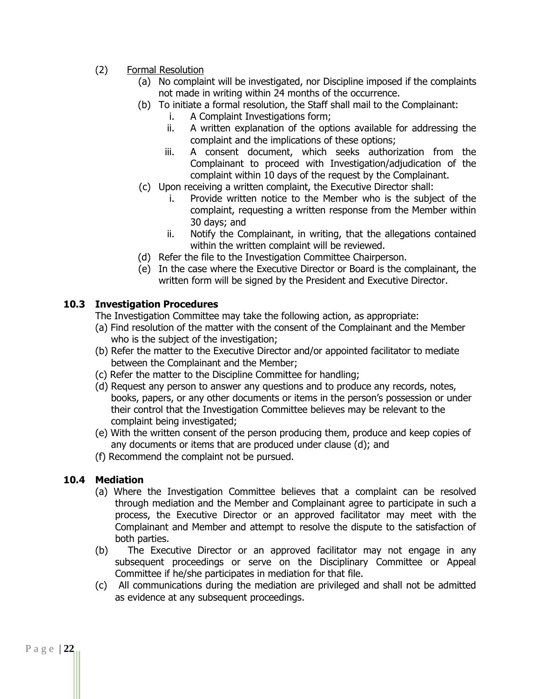- (2) Formal Resolution
	- (a) No complaint will be investigated, nor Discipline imposed if the complaints not made in writing within 24 months of the occurrence.
	- (b) To initiate a formal resolution, the Staff shall mail to the Complainant:
		- i. A Complaint Investigations form;
		- ii. A written explanation of the options available for addressing the complaint and the implications of these options;
		- iii. A consent document, which seeks authorization from the Complainant to proceed with Investigation/adjudication of the complaint within 10 days of the request by the Complainant.
	- (c) Upon receiving a written complaint, the Executive Director shall:
		- i. Provide written notice to the Member who is the subject of the complaint, requesting a written response from the Member within 30 days; and
		- ii. Notify the Complainant, in writing, that the allegations contained within the written complaint will be reviewed.
	- (d) Refer the file to the Investigation Committee Chairperson.
	- (e) In the case where the Executive Director or Board is the complainant, the written form will be signed by the President and Executive Director.

#### **10.3 Investigation Procedures**

The Investigation Committee may take the following action, as appropriate:

- (a) Find resolution of the matter with the consent of the Complainant and the Member who is the subject of the investigation;
- (b) Refer the matter to the Executive Director and/or appointed facilitator to mediate between the Complainant and the Member;
- (c) Refer the matter to the Discipline Committee for handling;
- (d) Request any person to answer any questions and to produce any records, notes, books, papers, or any other documents or items in the person's possession or under their control that the Investigation Committee believes may be relevant to the complaint being investigated;
- (e) With the written consent of the person producing them, produce and keep copies of any documents or items that are produced under clause (d); and
- (f) Recommend the complaint not be pursued.

# **10.4 Mediation**

- (a) Where the Investigation Committee believes that a complaint can be resolved through mediation and the Member and Complainant agree to participate in such a process, the Executive Director or an approved facilitator may meet with the Complainant and Member and attempt to resolve the dispute to the satisfaction of both parties.
- (b) The Executive Director or an approved facilitator may not engage in any subsequent proceedings or serve on the Disciplinary Committee or Appeal Committee if he/she participates in mediation for that file.
- (c) All communications during the mediation are privileged and shall not be admitted as evidence at any subsequent proceedings.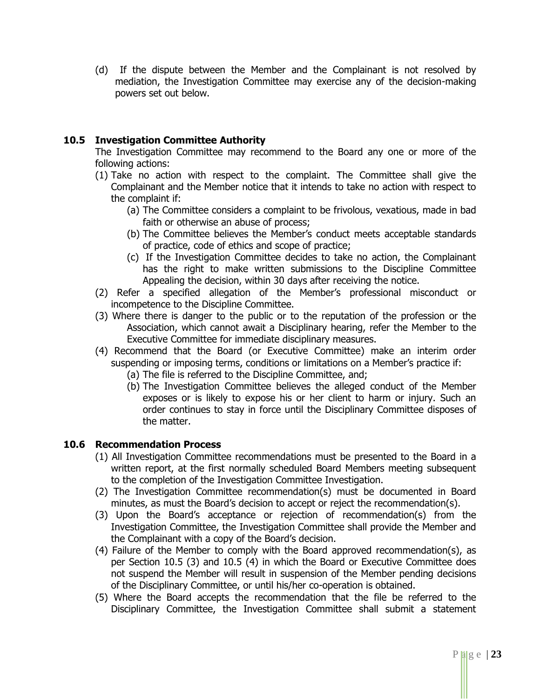(d) If the dispute between the Member and the Complainant is not resolved by mediation, the Investigation Committee may exercise any of the decision-making powers set out below.

#### **10.5 Investigation Committee Authority**

The Investigation Committee may recommend to the Board any one or more of the following actions:

- (1) Take no action with respect to the complaint. The Committee shall give the Complainant and the Member notice that it intends to take no action with respect to the complaint if:
	- (a) The Committee considers a complaint to be frivolous, vexatious, made in bad faith or otherwise an abuse of process;
	- (b) The Committee believes the Member's conduct meets acceptable standards of practice, code of ethics and scope of practice;
	- (c) If the Investigation Committee decides to take no action, the Complainant has the right to make written submissions to the Discipline Committee Appealing the decision, within 30 days after receiving the notice.
- (2) Refer a specified allegation of the Member's professional misconduct or incompetence to the Discipline Committee.
- (3) Where there is danger to the public or to the reputation of the profession or the Association, which cannot await a Disciplinary hearing, refer the Member to the Executive Committee for immediate disciplinary measures.
- (4) Recommend that the Board (or Executive Committee) make an interim order suspending or imposing terms, conditions or limitations on a Member's practice if:
	- (a) The file is referred to the Discipline Committee, and;
	- (b) The Investigation Committee believes the alleged conduct of the Member exposes or is likely to expose his or her client to harm or injury. Such an order continues to stay in force until the Disciplinary Committee disposes of the matter.

#### **10.6 Recommendation Process**

- (1) All Investigation Committee recommendations must be presented to the Board in a written report, at the first normally scheduled Board Members meeting subsequent to the completion of the Investigation Committee Investigation.
- (2) The Investigation Committee recommendation(s) must be documented in Board minutes, as must the Board's decision to accept or reject the recommendation(s).
- (3) Upon the Board's acceptance or rejection of recommendation(s) from the Investigation Committee, the Investigation Committee shall provide the Member and the Complainant with a copy of the Board's decision.
- (4) Failure of the Member to comply with the Board approved recommendation(s), as per Section 10.5 (3) and 10.5 (4) in which the Board or Executive Committee does not suspend the Member will result in suspension of the Member pending decisions of the Disciplinary Committee, or until his/her co-operation is obtained.
- (5) Where the Board accepts the recommendation that the file be referred to the Disciplinary Committee, the Investigation Committee shall submit a statement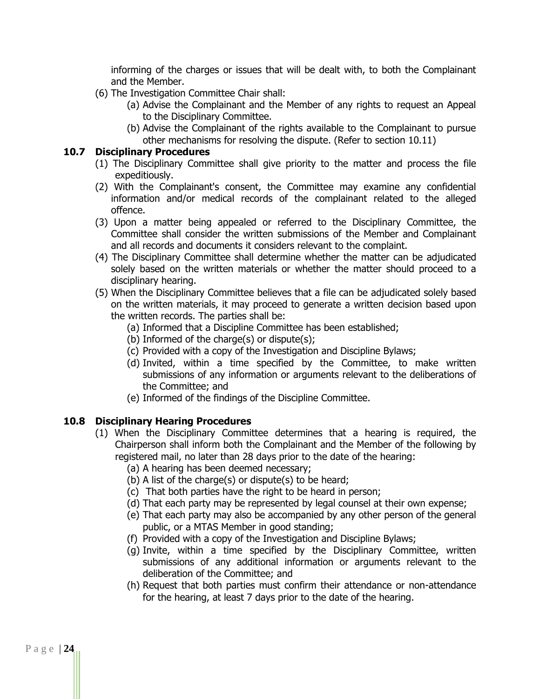informing of the charges or issues that will be dealt with, to both the Complainant and the Member.

- (6) The Investigation Committee Chair shall:
	- (a) Advise the Complainant and the Member of any rights to request an Appeal to the Disciplinary Committee.
	- (b) Advise the Complainant of the rights available to the Complainant to pursue other mechanisms for resolving the dispute. (Refer to section 10.11)

#### **10.7 Disciplinary Procedures**

- (1) The Disciplinary Committee shall give priority to the matter and process the file expeditiously.
- (2) With the Complainant's consent, the Committee may examine any confidential information and/or medical records of the complainant related to the alleged offence.
- (3) Upon a matter being appealed or referred to the Disciplinary Committee, the Committee shall consider the written submissions of the Member and Complainant and all records and documents it considers relevant to the complaint.
- (4) The Disciplinary Committee shall determine whether the matter can be adjudicated solely based on the written materials or whether the matter should proceed to a disciplinary hearing.
- (5) When the Disciplinary Committee believes that a file can be adjudicated solely based on the written materials, it may proceed to generate a written decision based upon the written records. The parties shall be:
	- (a) Informed that a Discipline Committee has been established;
	- (b) Informed of the charge(s) or dispute(s);
	- (c) Provided with a copy of the Investigation and Discipline Bylaws;
	- (d) Invited, within a time specified by the Committee, to make written submissions of any information or arguments relevant to the deliberations of the Committee; and
	- (e) Informed of the findings of the Discipline Committee.

# **10.8 Disciplinary Hearing Procedures**

- (1) When the Disciplinary Committee determines that a hearing is required, the Chairperson shall inform both the Complainant and the Member of the following by registered mail, no later than 28 days prior to the date of the hearing:
	- (a) A hearing has been deemed necessary;
	- (b) A list of the charge(s) or dispute(s) to be heard;
	- (c) That both parties have the right to be heard in person;
	- (d) That each party may be represented by legal counsel at their own expense;
	- (e) That each party may also be accompanied by any other person of the general public, or a MTAS Member in good standing;
	- (f) Provided with a copy of the Investigation and Discipline Bylaws;
	- (g) Invite, within a time specified by the Disciplinary Committee, written submissions of any additional information or arguments relevant to the deliberation of the Committee; and
	- (h) Request that both parties must confirm their attendance or non-attendance for the hearing, at least 7 days prior to the date of the hearing.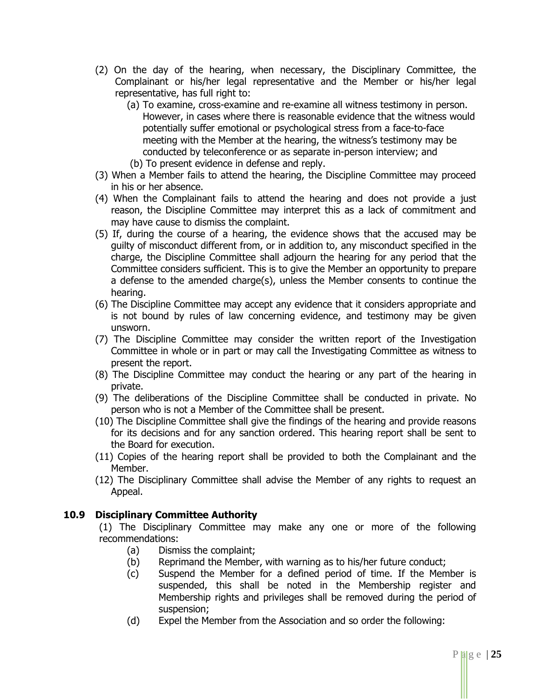- (2) On the day of the hearing, when necessary, the Disciplinary Committee, the Complainant or his/her legal representative and the Member or his/her legal representative, has full right to:
	- (a) To examine, cross-examine and re-examine all witness testimony in person. However, in cases where there is reasonable evidence that the witness would potentially suffer emotional or psychological stress from a face-to-face meeting with the Member at the hearing, the witness's testimony may be conducted by teleconference or as separate in-person interview; and (b) To present evidence in defense and reply.
- (3) When a Member fails to attend the hearing, the Discipline Committee may proceed in his or her absence.
- (4) When the Complainant fails to attend the hearing and does not provide a just reason, the Discipline Committee may interpret this as a lack of commitment and may have cause to dismiss the complaint.
- (5) If, during the course of a hearing, the evidence shows that the accused may be guilty of misconduct different from, or in addition to, any misconduct specified in the charge, the Discipline Committee shall adjourn the hearing for any period that the Committee considers sufficient. This is to give the Member an opportunity to prepare a defense to the amended charge(s), unless the Member consents to continue the hearing.
- (6) The Discipline Committee may accept any evidence that it considers appropriate and is not bound by rules of law concerning evidence, and testimony may be given unsworn.
- (7) The Discipline Committee may consider the written report of the Investigation Committee in whole or in part or may call the Investigating Committee as witness to present the report.
- (8) The Discipline Committee may conduct the hearing or any part of the hearing in private.
- (9) The deliberations of the Discipline Committee shall be conducted in private. No person who is not a Member of the Committee shall be present.
- (10) The Discipline Committee shall give the findings of the hearing and provide reasons for its decisions and for any sanction ordered. This hearing report shall be sent to the Board for execution.
- (11) Copies of the hearing report shall be provided to both the Complainant and the Member.
- (12) The Disciplinary Committee shall advise the Member of any rights to request an Appeal.

# **10.9 Disciplinary Committee Authority**

(1) The Disciplinary Committee may make any one or more of the following recommendations:

- (a) Dismiss the complaint;
- (b) Reprimand the Member, with warning as to his/her future conduct;
- (c) Suspend the Member for a defined period of time. If the Member is suspended, this shall be noted in the Membership register and Membership rights and privileges shall be removed during the period of suspension;
- (d) Expel the Member from the Association and so order the following: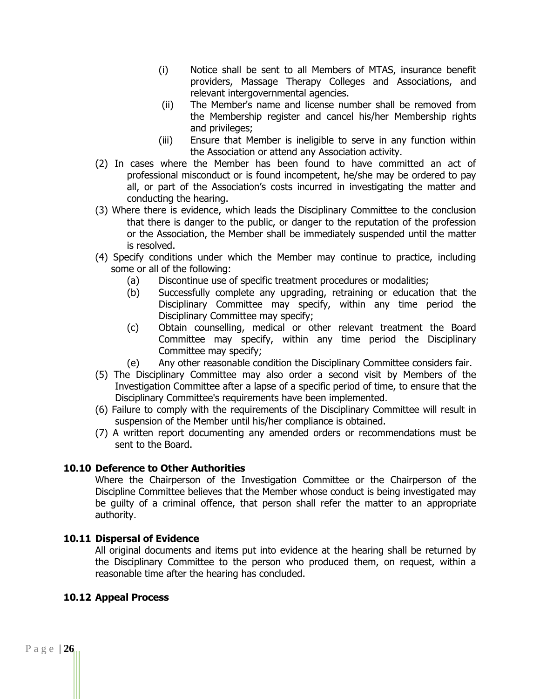- (i) Notice shall be sent to all Members of MTAS, insurance benefit providers, Massage Therapy Colleges and Associations, and relevant intergovernmental agencies.
- (ii) The Member's name and license number shall be removed from the Membership register and cancel his/her Membership rights and privileges;
- (iii) Ensure that Member is ineligible to serve in any function within the Association or attend any Association activity.
- (2) In cases where the Member has been found to have committed an act of professional misconduct or is found incompetent, he/she may be ordered to pay all, or part of the Association's costs incurred in investigating the matter and conducting the hearing.
- (3) Where there is evidence, which leads the Disciplinary Committee to the conclusion that there is danger to the public, or danger to the reputation of the profession or the Association, the Member shall be immediately suspended until the matter is resolved.
- (4) Specify conditions under which the Member may continue to practice, including some or all of the following:
	- (a) Discontinue use of specific treatment procedures or modalities;
	- (b) Successfully complete any upgrading, retraining or education that the Disciplinary Committee may specify, within any time period the Disciplinary Committee may specify;
	- (c) Obtain counselling, medical or other relevant treatment the Board Committee may specify, within any time period the Disciplinary Committee may specify;
	- (e) Any other reasonable condition the Disciplinary Committee considers fair.
- (5) The Disciplinary Committee may also order a second visit by Members of the Investigation Committee after a lapse of a specific period of time, to ensure that the Disciplinary Committee's requirements have been implemented.
- (6) Failure to comply with the requirements of the Disciplinary Committee will result in suspension of the Member until his/her compliance is obtained.
- (7) A written report documenting any amended orders or recommendations must be sent to the Board.

#### **10.10 Deference to Other Authorities**

Where the Chairperson of the Investigation Committee or the Chairperson of the Discipline Committee believes that the Member whose conduct is being investigated may be guilty of a criminal offence, that person shall refer the matter to an appropriate authority.

#### **10.11 Dispersal of Evidence**

All original documents and items put into evidence at the hearing shall be returned by the Disciplinary Committee to the person who produced them, on request, within a reasonable time after the hearing has concluded.

#### **10.12 Appeal Process**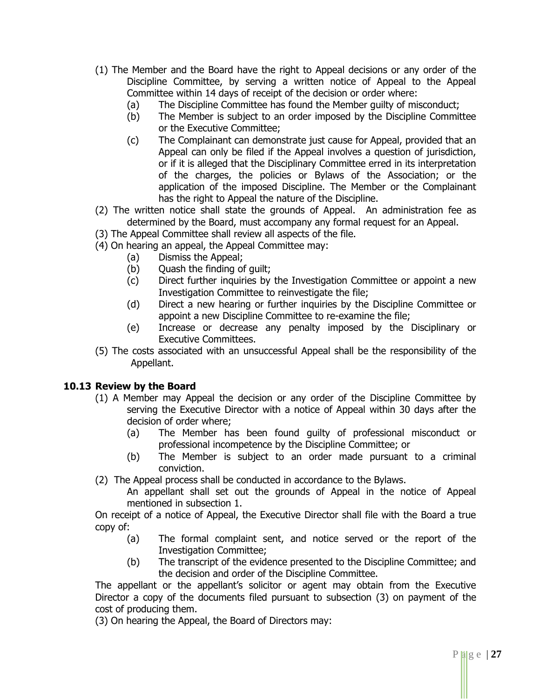- (1) The Member and the Board have the right to Appeal decisions or any order of the Discipline Committee, by serving a written notice of Appeal to the Appeal Committee within 14 days of receipt of the decision or order where:
	- (a) The Discipline Committee has found the Member guilty of misconduct;
	- (b) The Member is subject to an order imposed by the Discipline Committee or the Executive Committee;
	- (c) The Complainant can demonstrate just cause for Appeal, provided that an Appeal can only be filed if the Appeal involves a question of jurisdiction, or if it is alleged that the Disciplinary Committee erred in its interpretation of the charges, the policies or Bylaws of the Association; or the application of the imposed Discipline. The Member or the Complainant has the right to Appeal the nature of the Discipline.
- (2) The written notice shall state the grounds of Appeal. An administration fee as determined by the Board, must accompany any formal request for an Appeal.
- (3) The Appeal Committee shall review all aspects of the file.
- (4) On hearing an appeal, the Appeal Committee may:
	- (a) Dismiss the Appeal;
	- (b) Quash the finding of guilt;
	- (c) Direct further inquiries by the Investigation Committee or appoint a new Investigation Committee to reinvestigate the file;
	- (d) Direct a new hearing or further inquiries by the Discipline Committee or appoint a new Discipline Committee to re-examine the file;
	- (e) Increase or decrease any penalty imposed by the Disciplinary or Executive Committees.
- (5) The costs associated with an unsuccessful Appeal shall be the responsibility of the Appellant.

# **10.13 Review by the Board**

- (1) A Member may Appeal the decision or any order of the Discipline Committee by serving the Executive Director with a notice of Appeal within 30 days after the decision of order where;
	- (a) The Member has been found guilty of professional misconduct or professional incompetence by the Discipline Committee; or
	- (b) The Member is subject to an order made pursuant to a criminal conviction.
- (2) The Appeal process shall be conducted in accordance to the Bylaws.

An appellant shall set out the grounds of Appeal in the notice of Appeal mentioned in subsection 1.

On receipt of a notice of Appeal, the Executive Director shall file with the Board a true copy of:

- (a) The formal complaint sent, and notice served or the report of the Investigation Committee;
- (b) The transcript of the evidence presented to the Discipline Committee; and the decision and order of the Discipline Committee.

The appellant or the appellant's solicitor or agent may obtain from the Executive Director a copy of the documents filed pursuant to subsection (3) on payment of the cost of producing them.

(3) On hearing the Appeal, the Board of Directors may: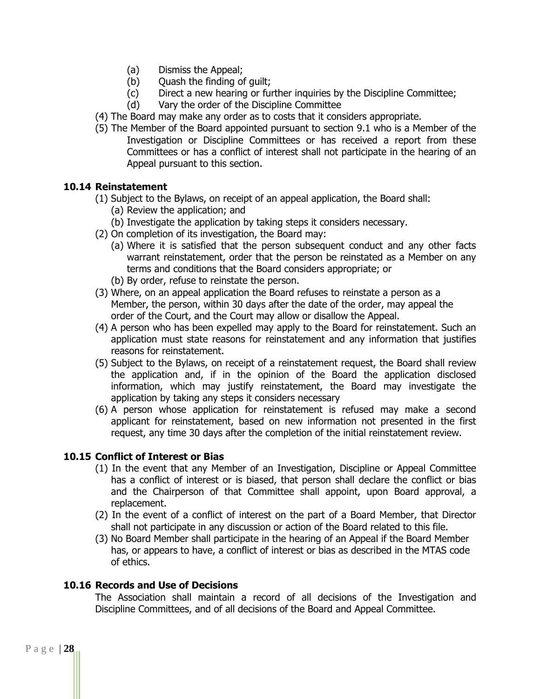- (a) Dismiss the Appeal;
- (b) Ouash the finding of quilt;
- (c) Direct a new hearing or further inquiries by the Discipline Committee;
- (d) Vary the order of the Discipline Committee
- (4) The Board may make any order as to costs that it considers appropriate.
- (5) The Member of the Board appointed pursuant to section 9.1 who is a Member of the Investigation or Discipline Committees or has received a report from these Committees or has a conflict of interest shall not participate in the hearing of an Appeal pursuant to this section.

#### **10.14 Reinstatement**

- (1) Subject to the Bylaws, on receipt of an appeal application, the Board shall:
	- (a) Review the application; and
	- (b) Investigate the application by taking steps it considers necessary.
- (2) On completion of its investigation, the Board may:
	- (a) Where it is satisfied that the person subsequent conduct and any other facts warrant reinstatement, order that the person be reinstated as a Member on any terms and conditions that the Board considers appropriate; or
	- (b) By order, refuse to reinstate the person.
- (3) Where, on an appeal application the Board refuses to reinstate a person as a Member, the person, within 30 days after the date of the order, may appeal the order of the Court, and the Court may allow or disallow the Appeal.
- (4) A person who has been expelled may apply to the Board for reinstatement. Such an application must state reasons for reinstatement and any information that justifies reasons for reinstatement.
- (5) Subject to the Bylaws, on receipt of a reinstatement request, the Board shall review the application and, if in the opinion of the Board the application disclosed information, which may justify reinstatement, the Board may investigate the application by taking any steps it considers necessary
- (6) A person whose application for reinstatement is refused may make a second applicant for reinstatement, based on new information not presented in the first request, any time 30 days after the completion of the initial reinstatement review.

# **10.15 Conflict of Interest or Bias**

- (1) In the event that any Member of an Investigation, Discipline or Appeal Committee has a conflict of interest or is biased, that person shall declare the conflict or bias and the Chairperson of that Committee shall appoint, upon Board approval, a replacement.
- (2) In the event of a conflict of interest on the part of a Board Member, that Director shall not participate in any discussion or action of the Board related to this file.
- (3) No Board Member shall participate in the hearing of an Appeal if the Board Member has, or appears to have, a conflict of interest or bias as described in the MTAS code of ethics.

#### **10.16 Records and Use of Decisions**

The Association shall maintain a record of all decisions of the Investigation and Discipline Committees, and of all decisions of the Board and Appeal Committee.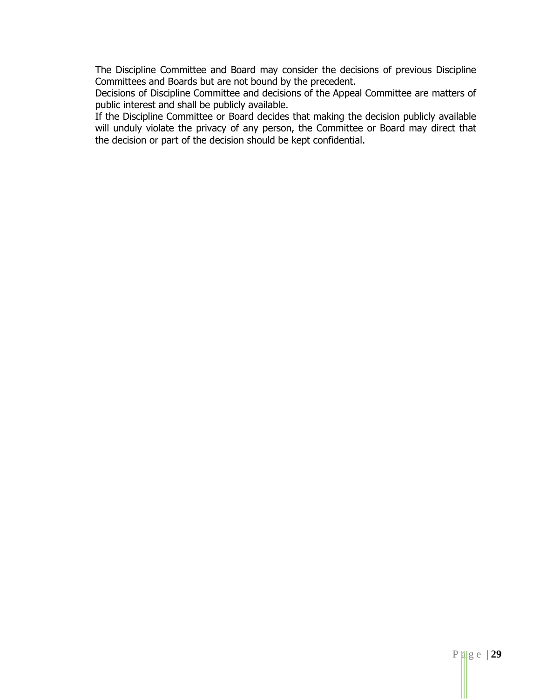The Discipline Committee and Board may consider the decisions of previous Discipline Committees and Boards but are not bound by the precedent.

Decisions of Discipline Committee and decisions of the Appeal Committee are matters of public interest and shall be publicly available.

If the Discipline Committee or Board decides that making the decision publicly available will unduly violate the privacy of any person, the Committee or Board may direct that the decision or part of the decision should be kept confidential.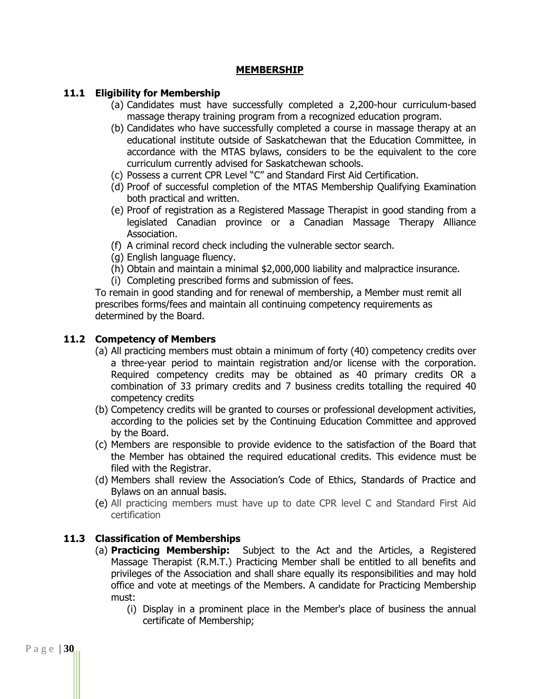#### **MEMBERSHIP**

#### **11.1 Eligibility for Membership**

- (a) Candidates must have successfully completed a 2,200-hour curriculum-based massage therapy training program from a recognized education program.
- (b) Candidates who have successfully completed a course in massage therapy at an educational institute outside of Saskatchewan that the Education Committee, in accordance with the MTAS bylaws, considers to be the equivalent to the core curriculum currently advised for Saskatchewan schools.
- (c) Possess a current CPR Level "C" and Standard First Aid Certification.
- (d) Proof of successful completion of the MTAS Membership Qualifying Examination both practical and written.
- (e) Proof of registration as a Registered Massage Therapist in good standing from a legislated Canadian province or a Canadian Massage Therapy Alliance Association.
- (f) A criminal record check including the vulnerable sector search.
- (g) English language fluency.
- (h) Obtain and maintain a minimal \$2,000,000 liability and malpractice insurance.
- (i) Completing prescribed forms and submission of fees.

To remain in good standing and for renewal of membership, a Member must remit all prescribes forms/fees and maintain all continuing competency requirements as determined by the Board.

#### **11.2 Competency of Members**

- (a) All practicing members must obtain a minimum of forty (40) competency credits over a three-year period to maintain registration and/or license with the corporation. Required competency credits may be obtained as 40 primary credits OR a combination of 33 primary credits and 7 business credits totalling the required 40 competency credits
- (b) Competency credits will be granted to courses or professional development activities, according to the policies set by the Continuing Education Committee and approved by the Board.
- (c) Members are responsible to provide evidence to the satisfaction of the Board that the Member has obtained the required educational credits. This evidence must be filed with the Registrar.
- (d) Members shall review the Association's Code of Ethics, Standards of Practice and Bylaws on an annual basis.
- (e) All practicing members must have up to date CPR level C and Standard First Aid certification

# **11.3 Classification of Memberships**

- (a) **Practicing Membership:** Subject to the Act and the Articles, a Registered Massage Therapist (R.M.T.) Practicing Member shall be entitled to all benefits and privileges of the Association and shall share equally its responsibilities and may hold office and vote at meetings of the Members. A candidate for Practicing Membership must:
	- (i) Display in a prominent place in the Member's place of business the annual certificate of Membership;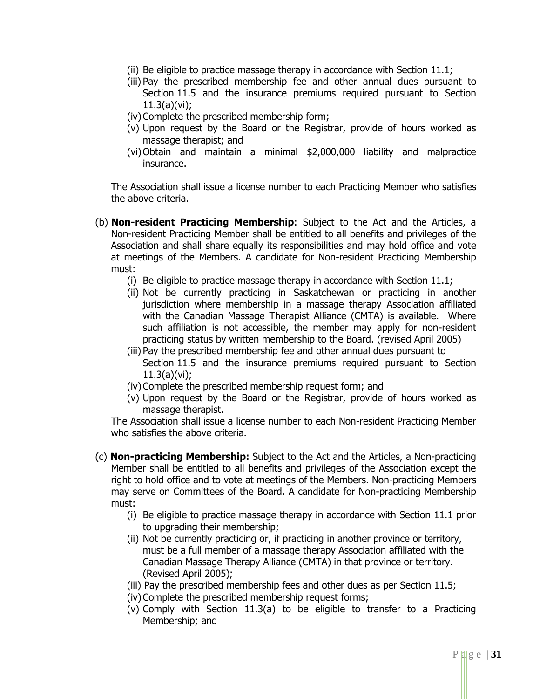- (ii) Be eligible to practice massage therapy in accordance with Section 11.1;
- (iii) Pay the prescribed membership fee and other annual dues pursuant to Section 11.5 and the insurance premiums required pursuant to Section 11.3(a)(vi);
- (iv) Complete the prescribed membership form;
- (v) Upon request by the Board or the Registrar, provide of hours worked as massage therapist; and
- (vi)Obtain and maintain a minimal \$2,000,000 liability and malpractice insurance.

The Association shall issue a license number to each Practicing Member who satisfies the above criteria.

- (b) **Non-resident Practicing Membership**: Subject to the Act and the Articles, a Non-resident Practicing Member shall be entitled to all benefits and privileges of the Association and shall share equally its responsibilities and may hold office and vote at meetings of the Members. A candidate for Non-resident Practicing Membership must:
	- (i) Be eligible to practice massage therapy in accordance with Section 11.1;
	- (ii) Not be currently practicing in Saskatchewan or practicing in another jurisdiction where membership in a massage therapy Association affiliated with the Canadian Massage Therapist Alliance (CMTA) is available. Where such affiliation is not accessible, the member may apply for non-resident practicing status by written membership to the Board. (revised April 2005)
	- (iii) Pay the prescribed membership fee and other annual dues pursuant to Section 11.5 and the insurance premiums required pursuant to Section 11.3(a)(vi);
	- (iv)Complete the prescribed membership request form; and
	- (v) Upon request by the Board or the Registrar, provide of hours worked as massage therapist.

The Association shall issue a license number to each Non-resident Practicing Member who satisfies the above criteria.

- (c) **Non-practicing Membership:** Subject to the Act and the Articles, a Non-practicing Member shall be entitled to all benefits and privileges of the Association except the right to hold office and to vote at meetings of the Members. Non-practicing Members may serve on Committees of the Board. A candidate for Non-practicing Membership must:
	- (i) Be eligible to practice massage therapy in accordance with Section 11.1 prior to upgrading their membership;
	- (ii) Not be currently practicing or, if practicing in another province or territory, must be a full member of a massage therapy Association affiliated with the Canadian Massage Therapy Alliance (CMTA) in that province or territory. (Revised April 2005);
	- (iii) Pay the prescribed membership fees and other dues as per Section 11.5;
	- (iv)Complete the prescribed membership request forms;
	- (v) Comply with Section 11.3(a) to be eligible to transfer to a Practicing Membership; and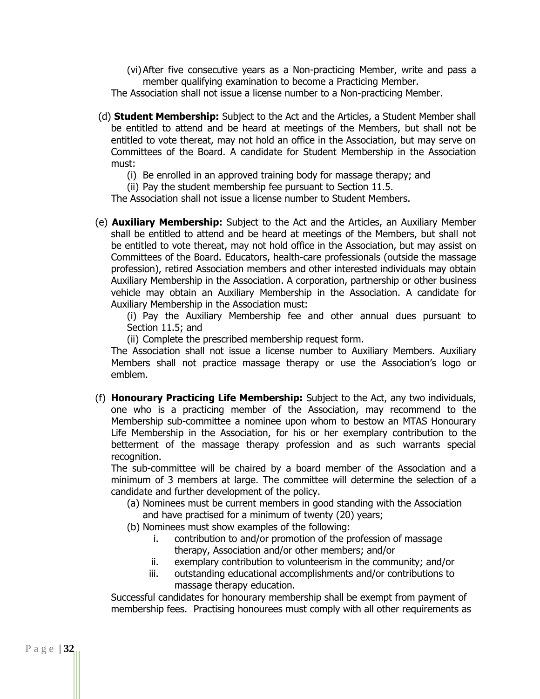(vi)After five consecutive years as a Non-practicing Member, write and pass a member qualifying examination to become a Practicing Member.

The Association shall not issue a license number to a Non-practicing Member.

- (d) **Student Membership:** Subject to the Act and the Articles, a Student Member shall be entitled to attend and be heard at meetings of the Members, but shall not be entitled to vote thereat, may not hold an office in the Association, but may serve on Committees of the Board. A candidate for Student Membership in the Association must:
	- (i) Be enrolled in an approved training body for massage therapy; and

(ii) Pay the student membership fee pursuant to Section 11.5.

The Association shall not issue a license number to Student Members.

(e) **Auxiliary Membership:** Subject to the Act and the Articles, an Auxiliary Member shall be entitled to attend and be heard at meetings of the Members, but shall not be entitled to vote thereat, may not hold office in the Association, but may assist on Committees of the Board. Educators, health-care professionals (outside the massage profession), retired Association members and other interested individuals may obtain Auxiliary Membership in the Association. A corporation, partnership or other business vehicle may obtain an Auxiliary Membership in the Association. A candidate for Auxiliary Membership in the Association must:

(i) Pay the Auxiliary Membership fee and other annual dues pursuant to Section 11.5; and

(ii) Complete the prescribed membership request form.

The Association shall not issue a license number to Auxiliary Members. Auxiliary Members shall not practice massage therapy or use the Association's logo or emblem.

(f) **Honourary Practicing Life Membership:** Subject to the Act, any two individuals, one who is a practicing member of the Association, may recommend to the Membership sub-committee a nominee upon whom to bestow an MTAS Honourary Life Membership in the Association, for his or her exemplary contribution to the betterment of the massage therapy profession and as such warrants special recognition.

The sub-committee will be chaired by a board member of the Association and a minimum of 3 members at large. The committee will determine the selection of a candidate and further development of the policy.

- (a) Nominees must be current members in good standing with the Association and have practised for a minimum of twenty (20) years;
- (b) Nominees must show examples of the following:
	- i. contribution to and/or promotion of the profession of massage therapy, Association and/or other members; and/or
	- ii. exemplary contribution to volunteerism in the community; and/or
	- iii. outstanding educational accomplishments and/or contributions to massage therapy education.

Successful candidates for honourary membership shall be exempt from payment of membership fees. Practising honourees must comply with all other requirements as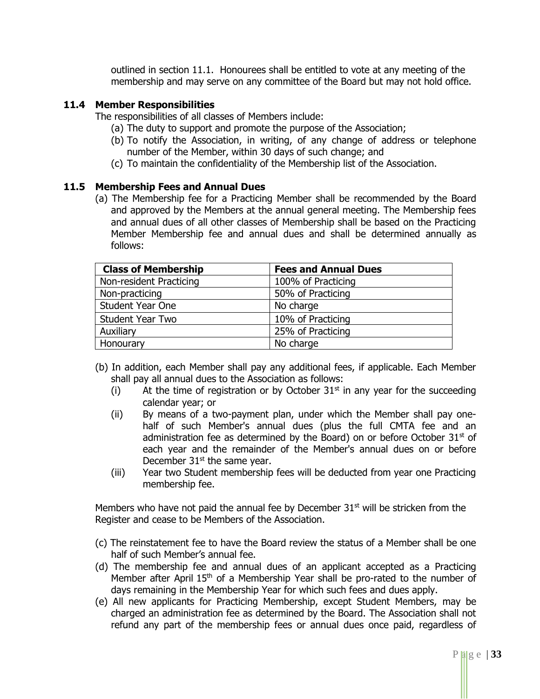outlined in section 11.1. Honourees shall be entitled to vote at any meeting of the membership and may serve on any committee of the Board but may not hold office.

#### **11.4 Member Responsibilities**

The responsibilities of all classes of Members include:

- (a) The duty to support and promote the purpose of the Association;
- (b) To notify the Association, in writing, of any change of address or telephone number of the Member, within 30 days of such change; and
- (c) To maintain the confidentiality of the Membership list of the Association.

#### **11.5 Membership Fees and Annual Dues**

(a) The Membership fee for a Practicing Member shall be recommended by the Board and approved by the Members at the annual general meeting. The Membership fees and annual dues of all other classes of Membership shall be based on the Practicing Member Membership fee and annual dues and shall be determined annually as follows:

| <b>Class of Membership</b> | <b>Fees and Annual Dues</b> |
|----------------------------|-----------------------------|
| Non-resident Practicing    | 100% of Practicing          |
| Non-practicing             | 50% of Practicing           |
| <b>Student Year One</b>    | No charge                   |
| <b>Student Year Two</b>    | 10% of Practicing           |
| Auxiliary                  | 25% of Practicing           |
| Honourary                  | No charge                   |

- (b) In addition, each Member shall pay any additional fees, if applicable. Each Member shall pay all annual dues to the Association as follows:
	- (i) At the time of registration or by October  $31<sup>st</sup>$  in any year for the succeeding calendar year; or
	- (ii) By means of a two-payment plan, under which the Member shall pay onehalf of such Member's annual dues (plus the full CMTA fee and an administration fee as determined by the Board) on or before October  $31<sup>st</sup>$  of each year and the remainder of the Member's annual dues on or before December  $31<sup>st</sup>$  the same year.
	- (iii) Year two Student membership fees will be deducted from year one Practicing membership fee.

Members who have not paid the annual fee by December  $31<sup>st</sup>$  will be stricken from the Register and cease to be Members of the Association.

- (c) The reinstatement fee to have the Board review the status of a Member shall be one half of such Member's annual fee.
- (d) The membership fee and annual dues of an applicant accepted as a Practicing Member after April  $15<sup>th</sup>$  of a Membership Year shall be pro-rated to the number of days remaining in the Membership Year for which such fees and dues apply.
- (e) All new applicants for Practicing Membership, except Student Members, may be charged an administration fee as determined by the Board. The Association shall not refund any part of the membership fees or annual dues once paid, regardless of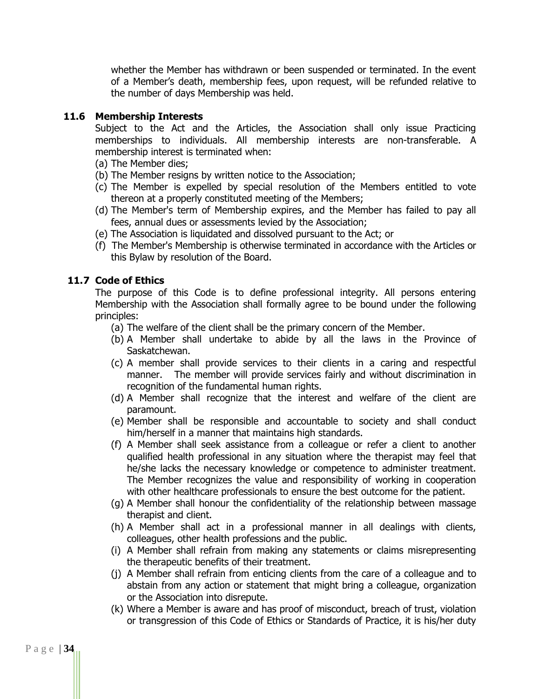whether the Member has withdrawn or been suspended or terminated. In the event of a Member's death, membership fees, upon request, will be refunded relative to the number of days Membership was held.

#### **11.6 Membership Interests**

Subject to the Act and the Articles, the Association shall only issue Practicing memberships to individuals. All membership interests are non-transferable. A membership interest is terminated when:

- (a) The Member dies;
- (b) The Member resigns by written notice to the Association;
- (c) The Member is expelled by special resolution of the Members entitled to vote thereon at a properly constituted meeting of the Members;
- (d) The Member's term of Membership expires, and the Member has failed to pay all fees, annual dues or assessments levied by the Association;
- (e) The Association is liquidated and dissolved pursuant to the Act; or
- (f) The Member's Membership is otherwise terminated in accordance with the Articles or this Bylaw by resolution of the Board.

# **11.7 Code of Ethics**

The purpose of this Code is to define professional integrity. All persons entering Membership with the Association shall formally agree to be bound under the following principles:

- (a) The welfare of the client shall be the primary concern of the Member.
- (b) A Member shall undertake to abide by all the laws in the Province of Saskatchewan.
- (c) A member shall provide services to their clients in a caring and respectful manner. The member will provide services fairly and without discrimination in recognition of the fundamental human rights.
- (d) A Member shall recognize that the interest and welfare of the client are paramount.
- (e) Member shall be responsible and accountable to society and shall conduct him/herself in a manner that maintains high standards.
- (f) A Member shall seek assistance from a colleague or refer a client to another qualified health professional in any situation where the therapist may feel that he/she lacks the necessary knowledge or competence to administer treatment. The Member recognizes the value and responsibility of working in cooperation with other healthcare professionals to ensure the best outcome for the patient.
- (g) A Member shall honour the confidentiality of the relationship between massage therapist and client.
- (h) A Member shall act in a professional manner in all dealings with clients, colleagues, other health professions and the public.
- (i) A Member shall refrain from making any statements or claims misrepresenting the therapeutic benefits of their treatment.
- (j) A Member shall refrain from enticing clients from the care of a colleague and to abstain from any action or statement that might bring a colleague, organization or the Association into disrepute.
- (k) Where a Member is aware and has proof of misconduct, breach of trust, violation or transgression of this Code of Ethics or Standards of Practice, it is his/her duty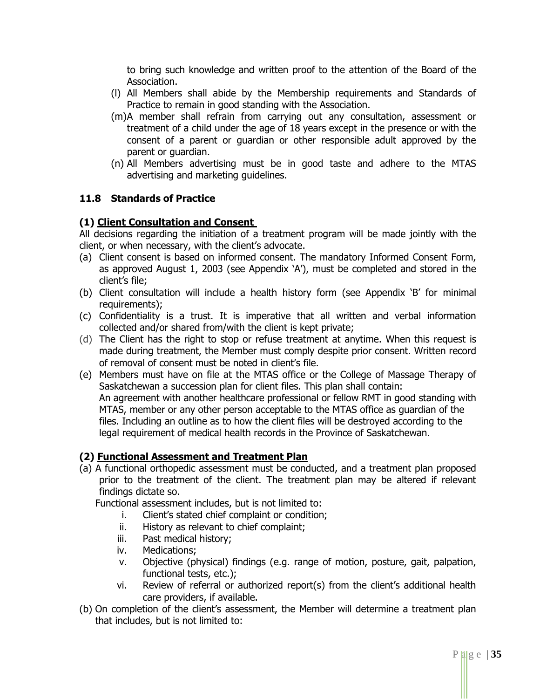to bring such knowledge and written proof to the attention of the Board of the Association.

- (l) All Members shall abide by the Membership requirements and Standards of Practice to remain in good standing with the Association.
- (m)A member shall refrain from carrying out any consultation, assessment or treatment of a child under the age of 18 years except in the presence or with the consent of a parent or guardian or other responsible adult approved by the parent or guardian.
- (n) All Members advertising must be in good taste and adhere to the MTAS advertising and marketing guidelines.

# **11.8 Standards of Practice**

# **(1) Client Consultation and Consent**

All decisions regarding the initiation of a treatment program will be made jointly with the client, or when necessary, with the client's advocate.

- (a) Client consent is based on informed consent. The mandatory Informed Consent Form, as approved August 1, 2003 (see Appendix 'A'), must be completed and stored in the client's file;
- (b) Client consultation will include a health history form (see Appendix 'B' for minimal requirements);
- (c) Confidentiality is a trust. It is imperative that all written and verbal information collected and/or shared from/with the client is kept private;
- (d) The Client has the right to stop or refuse treatment at anytime. When this request is made during treatment, the Member must comply despite prior consent. Written record of removal of consent must be noted in client's file.
- (e) Members must have on file at the MTAS office or the College of Massage Therapy of Saskatchewan a succession plan for client files. This plan shall contain: An agreement with another healthcare professional or fellow RMT in good standing with MTAS, member or any other person acceptable to the MTAS office as guardian of the files. Including an outline as to how the client files will be destroyed according to the legal requirement of medical health records in the Province of Saskatchewan.

# **(2) Functional Assessment and Treatment Plan**

(a) A functional orthopedic assessment must be conducted, and a treatment plan proposed prior to the treatment of the client. The treatment plan may be altered if relevant findings dictate so.

Functional assessment includes, but is not limited to:

- i. Client's stated chief complaint or condition;
- ii. History as relevant to chief complaint;
- iii. Past medical history;
- iv. Medications;
- v. Objective (physical) findings (e.g. range of motion, posture, gait, palpation, functional tests, etc.);
- vi. Review of referral or authorized report(s) from the client's additional health care providers, if available.
- (b) On completion of the client's assessment, the Member will determine a treatment plan that includes, but is not limited to: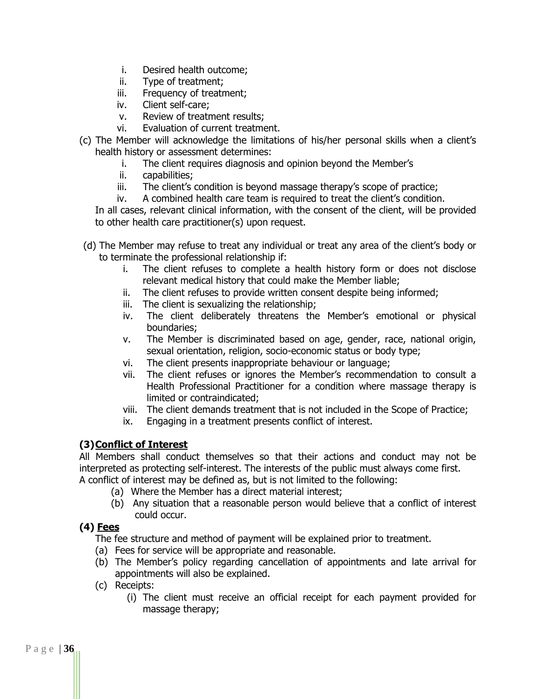- i. Desired health outcome;
- ii. Type of treatment;
- iii. Frequency of treatment;
- iv. Client self-care;
- v. Review of treatment results;
- vi. Evaluation of current treatment.
- (c) The Member will acknowledge the limitations of his/her personal skills when a client's health history or assessment determines:
	- i. The client requires diagnosis and opinion beyond the Member's
	- ii. capabilities;
	- iii. The client's condition is beyond massage therapy's scope of practice;
	- iv. A combined health care team is required to treat the client's condition.

In all cases, relevant clinical information, with the consent of the client, will be provided to other health care practitioner(s) upon request.

- (d) The Member may refuse to treat any individual or treat any area of the client's body or to terminate the professional relationship if:
	- i. The client refuses to complete a health history form or does not disclose relevant medical history that could make the Member liable;
	- ii. The client refuses to provide written consent despite being informed;
	- iii. The client is sexualizing the relationship;
	- iv. The client deliberately threatens the Member's emotional or physical boundaries;
	- v. The Member is discriminated based on age, gender, race, national origin, sexual orientation, religion, socio-economic status or body type;
	- vi. The client presents inappropriate behaviour or language;
	- vii. The client refuses or ignores the Member's recommendation to consult a Health Professional Practitioner for a condition where massage therapy is limited or contraindicated;
	- viii. The client demands treatment that is not included in the Scope of Practice;
	- ix. Engaging in a treatment presents conflict of interest.

# **(3)Conflict of Interest**

All Members shall conduct themselves so that their actions and conduct may not be interpreted as protecting self-interest. The interests of the public must always come first. A conflict of interest may be defined as, but is not limited to the following:

- (a) Where the Member has a direct material interest;
- (b) Any situation that a reasonable person would believe that a conflict of interest could occur.

# **(4) Fees**

The fee structure and method of payment will be explained prior to treatment.

- (a) Fees for service will be appropriate and reasonable.
- (b) The Member's policy regarding cancellation of appointments and late arrival for appointments will also be explained.
- (c) Receipts:
	- (i) The client must receive an official receipt for each payment provided for massage therapy;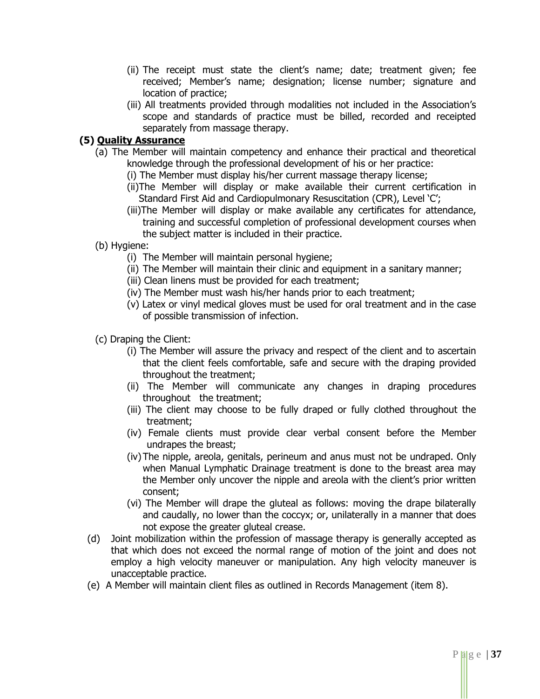- (ii) The receipt must state the client's name; date; treatment given; fee received; Member's name; designation; license number; signature and location of practice;
- (iii) All treatments provided through modalities not included in the Association's scope and standards of practice must be billed, recorded and receipted separately from massage therapy.

# **(5) Quality Assurance**

- (a) The Member will maintain competency and enhance their practical and theoretical knowledge through the professional development of his or her practice:
	- (i) The Member must display his/her current massage therapy license;
	- (ii)The Member will display or make available their current certification in Standard First Aid and Cardiopulmonary Resuscitation (CPR), Level 'C';
	- (iii)The Member will display or make available any certificates for attendance, training and successful completion of professional development courses when the subject matter is included in their practice.
- (b) Hygiene:
	- (i) The Member will maintain personal hygiene;
	- (ii) The Member will maintain their clinic and equipment in a sanitary manner;
	- (iii) Clean linens must be provided for each treatment;
	- (iv) The Member must wash his/her hands prior to each treatment;
	- (v) Latex or vinyl medical gloves must be used for oral treatment and in the case of possible transmission of infection.
- (c) Draping the Client:
	- (i) The Member will assure the privacy and respect of the client and to ascertain that the client feels comfortable, safe and secure with the draping provided throughout the treatment;
	- (ii) The Member will communicate any changes in draping procedures throughout the treatment;
	- (iii) The client may choose to be fully draped or fully clothed throughout the treatment;
	- (iv) Female clients must provide clear verbal consent before the Member undrapes the breast;
	- (iv)The nipple, areola, genitals, perineum and anus must not be undraped. Only when Manual Lymphatic Drainage treatment is done to the breast area may the Member only uncover the nipple and areola with the client's prior written consent;
	- (vi) The Member will drape the gluteal as follows: moving the drape bilaterally and caudally, no lower than the coccyx; or, unilaterally in a manner that does not expose the greater gluteal crease.
- (d) Joint mobilization within the profession of massage therapy is generally accepted as that which does not exceed the normal range of motion of the joint and does not employ a high velocity maneuver or manipulation. Any high velocity maneuver is unacceptable practice.
- (e) A Member will maintain client files as outlined in Records Management (item 8).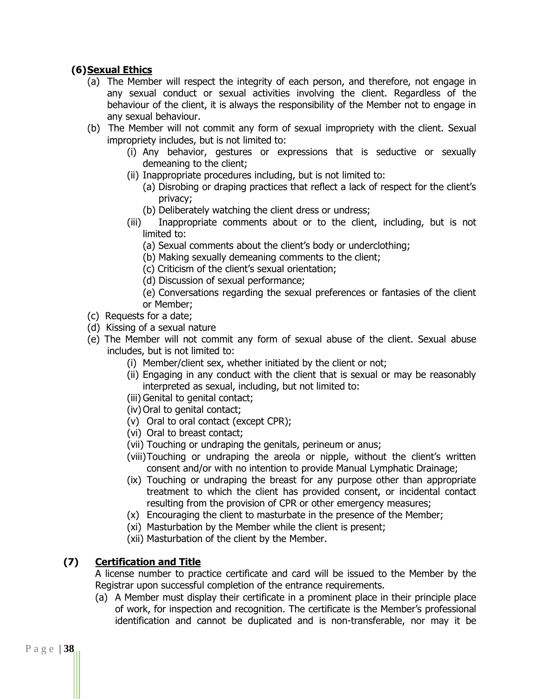# **(6)Sexual Ethics**

- (a) The Member will respect the integrity of each person, and therefore, not engage in any sexual conduct or sexual activities involving the client. Regardless of the behaviour of the client, it is always the responsibility of the Member not to engage in any sexual behaviour.
- (b) The Member will not commit any form of sexual impropriety with the client. Sexual impropriety includes, but is not limited to:
	- (i) Any behavior, gestures or expressions that is seductive or sexually demeaning to the client;
	- (ii) Inappropriate procedures including, but is not limited to:
		- (a) Disrobing or draping practices that reflect a lack of respect for the client's privacy;
		- (b) Deliberately watching the client dress or undress;
	- (iii) Inappropriate comments about or to the client, including, but is not limited to:
		- (a) Sexual comments about the client's body or underclothing;
		- (b) Making sexually demeaning comments to the client;
		- (c) Criticism of the client's sexual orientation;
		- (d) Discussion of sexual performance;
		- (e) Conversations regarding the sexual preferences or fantasies of the client or Member;
- (c) Requests for a date;
- (d) Kissing of a sexual nature
- (e) The Member will not commit any form of sexual abuse of the client. Sexual abuse includes, but is not limited to:
	- (i) Member/client sex, whether initiated by the client or not;
	- (ii) Engaging in any conduct with the client that is sexual or may be reasonably interpreted as sexual, including, but not limited to:
	- (iii) Genital to genital contact;
	- (iv) Oral to genital contact;
	- (v) Oral to oral contact (except CPR);
	- (vi) Oral to breast contact;
	- (vii) Touching or undraping the genitals, perineum or anus;
	- (viii)Touching or undraping the areola or nipple, without the client's written consent and/or with no intention to provide Manual Lymphatic Drainage;
	- (ix) Touching or undraping the breast for any purpose other than appropriate treatment to which the client has provided consent, or incidental contact resulting from the provision of CPR or other emergency measures;
	- (x) Encouraging the client to masturbate in the presence of the Member;
	- (xi) Masturbation by the Member while the client is present;
	- (xii) Masturbation of the client by the Member.

# **(7) Certification and Title**

A license number to practice certificate and card will be issued to the Member by the Registrar upon successful completion of the entrance requirements.

(a) A Member must display their certificate in a prominent place in their principle place of work, for inspection and recognition. The certificate is the Member's professional identification and cannot be duplicated and is non-transferable, nor may it be

P a g e | **38**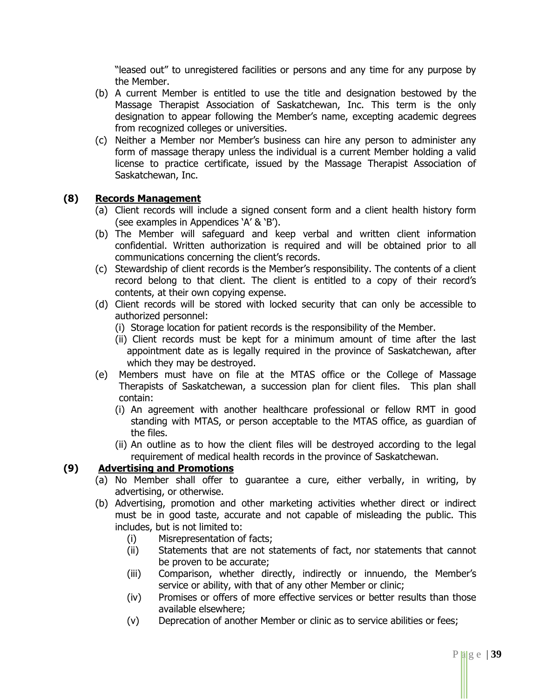"leased out" to unregistered facilities or persons and any time for any purpose by the Member.

- (b) A current Member is entitled to use the title and designation bestowed by the Massage Therapist Association of Saskatchewan, Inc. This term is the only designation to appear following the Member's name, excepting academic degrees from recognized colleges or universities.
- (c) Neither a Member nor Member's business can hire any person to administer any form of massage therapy unless the individual is a current Member holding a valid license to practice certificate, issued by the Massage Therapist Association of Saskatchewan, Inc.

#### **(8) Records Management**

- (a) Client records will include a signed consent form and a client health history form (see examples in Appendices 'A' & 'B').
- (b) The Member will safeguard and keep verbal and written client information confidential. Written authorization is required and will be obtained prior to all communications concerning the client's records.
- (c) Stewardship of client records is the Member's responsibility. The contents of a client record belong to that client. The client is entitled to a copy of their record's contents, at their own copying expense.
- (d) Client records will be stored with locked security that can only be accessible to authorized personnel:
	- (i) Storage location for patient records is the responsibility of the Member.
	- (ii) Client records must be kept for a minimum amount of time after the last appointment date as is legally required in the province of Saskatchewan, after which they may be destroyed.
- (e) Members must have on file at the MTAS office or the College of Massage Therapists of Saskatchewan, a succession plan for client files. This plan shall contain:
	- (i) An agreement with another healthcare professional or fellow RMT in good standing with MTAS, or person acceptable to the MTAS office, as guardian of the files.
	- (ii) An outline as to how the client files will be destroyed according to the legal requirement of medical health records in the province of Saskatchewan.

#### **(9) Advertising and Promotions**

- (a) No Member shall offer to guarantee a cure, either verbally, in writing, by advertising, or otherwise.
- (b) Advertising, promotion and other marketing activities whether direct or indirect must be in good taste, accurate and not capable of misleading the public. This includes, but is not limited to:
	- (i) Misrepresentation of facts;
	- (ii) Statements that are not statements of fact, nor statements that cannot be proven to be accurate;
	- (iii) Comparison, whether directly, indirectly or innuendo, the Member's service or ability, with that of any other Member or clinic;
	- (iv) Promises or offers of more effective services or better results than those available elsewhere;
	- (v) Deprecation of another Member or clinic as to service abilities or fees;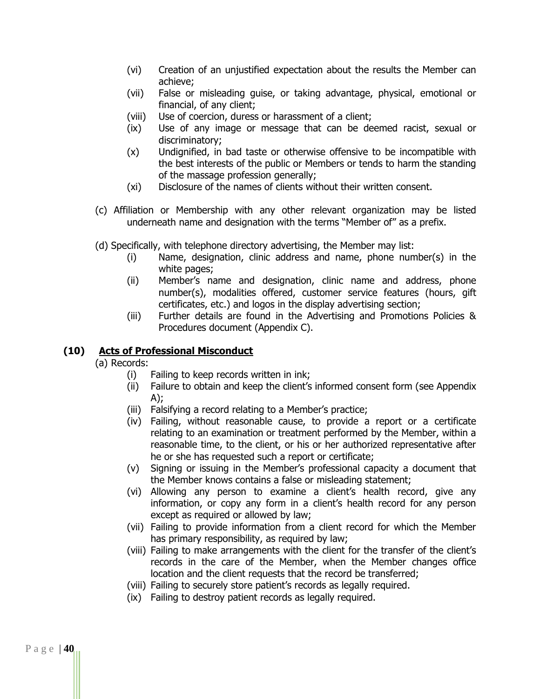- (vi) Creation of an unjustified expectation about the results the Member can achieve;
- (vii) False or misleading guise, or taking advantage, physical, emotional or financial, of any client;
- (viii) Use of coercion, duress or harassment of a client;
- (ix) Use of any image or message that can be deemed racist, sexual or discriminatory;
- (x) Undignified, in bad taste or otherwise offensive to be incompatible with the best interests of the public or Members or tends to harm the standing of the massage profession generally;
- (xi) Disclosure of the names of clients without their written consent.
- (c) Affiliation or Membership with any other relevant organization may be listed underneath name and designation with the terms "Member of" as a prefix.
- (d) Specifically, with telephone directory advertising, the Member may list:
	- (i) Name, designation, clinic address and name, phone number(s) in the white pages;
	- (ii) Member's name and designation, clinic name and address, phone number(s), modalities offered, customer service features (hours, gift certificates, etc.) and logos in the display advertising section;
	- (iii) Further details are found in the Advertising and Promotions Policies & Procedures document (Appendix C).

# **(10) Acts of Professional Misconduct**

(a) Records:

- (i) Failing to keep records written in ink;
- (ii) Failure to obtain and keep the client's informed consent form (see Appendix  $A$ );
- (iii) Falsifying a record relating to a Member's practice;
- (iv) Failing, without reasonable cause, to provide a report or a certificate relating to an examination or treatment performed by the Member, within a reasonable time, to the client, or his or her authorized representative after he or she has requested such a report or certificate;
- (v) Signing or issuing in the Member's professional capacity a document that the Member knows contains a false or misleading statement;
- (vi) Allowing any person to examine a client's health record, give any information, or copy any form in a client's health record for any person except as required or allowed by law;
- (vii) Failing to provide information from a client record for which the Member has primary responsibility, as required by law;
- (viii) Failing to make arrangements with the client for the transfer of the client's records in the care of the Member, when the Member changes office location and the client requests that the record be transferred;
- (viii) Failing to securely store patient's records as legally required.
- (ix) Failing to destroy patient records as legally required.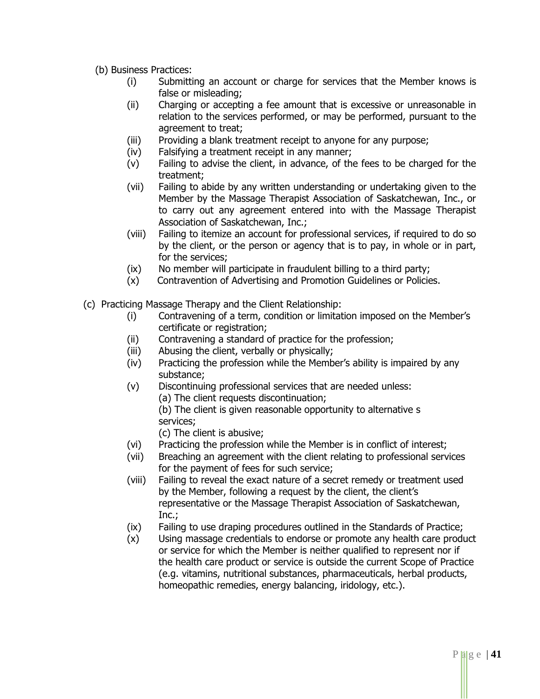(b) Business Practices:

- (i) Submitting an account or charge for services that the Member knows is false or misleading;
- (ii) Charging or accepting a fee amount that is excessive or unreasonable in relation to the services performed, or may be performed, pursuant to the agreement to treat;
- (iii) Providing a blank treatment receipt to anyone for any purpose;
- (iv) Falsifying a treatment receipt in any manner;
- (v) Failing to advise the client, in advance, of the fees to be charged for the treatment;
- (vii) Failing to abide by any written understanding or undertaking given to the Member by the Massage Therapist Association of Saskatchewan, Inc., or to carry out any agreement entered into with the Massage Therapist Association of Saskatchewan, Inc.;
- (viii) Failing to itemize an account for professional services, if required to do so by the client, or the person or agency that is to pay, in whole or in part, for the services;
- (ix) No member will participate in fraudulent billing to a third party;
- (x) Contravention of Advertising and Promotion Guidelines or Policies.
- (c) Practicing Massage Therapy and the Client Relationship:
	- (i) Contravening of a term, condition or limitation imposed on the Member's certificate or registration;
	- (ii) Contravening a standard of practice for the profession;
	- (iii) Abusing the client, verbally or physically;
	- (iv) Practicing the profession while the Member's ability is impaired by any substance;
	- (v) Discontinuing professional services that are needed unless:
		- (a) The client requests discontinuation;

(b) The client is given reasonable opportunity to alternative s services;

(c) The client is abusive;

- (vi) Practicing the profession while the Member is in conflict of interest;
- (vii) Breaching an agreement with the client relating to professional services for the payment of fees for such service;
- (viii) Failing to reveal the exact nature of a secret remedy or treatment used by the Member, following a request by the client, the client's representative or the Massage Therapist Association of Saskatchewan, Inc.;
- (ix) Failing to use draping procedures outlined in the Standards of Practice;
- (x) Using massage credentials to endorse or promote any health care product or service for which the Member is neither qualified to represent nor if the health care product or service is outside the current Scope of Practice (e.g. vitamins, nutritional substances, pharmaceuticals, herbal products, homeopathic remedies, energy balancing, iridology, etc.).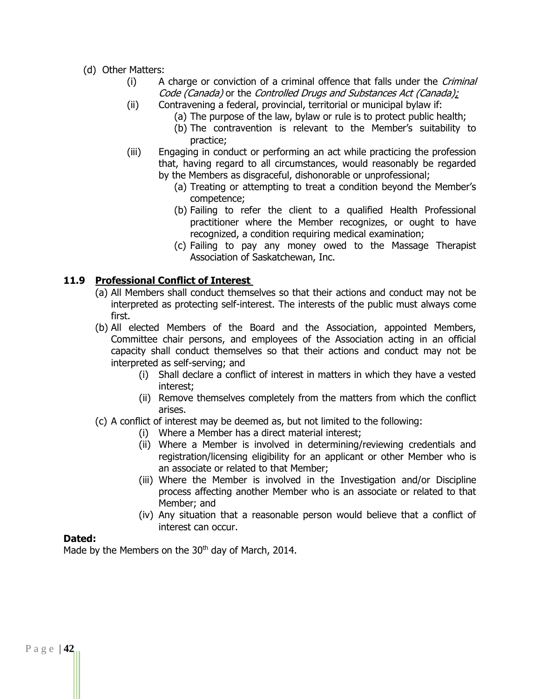- (d) Other Matters:
	- (i) A charge or conviction of a criminal offence that falls under the Criminal Code (Canada) or the Controlled Drugs and Substances Act (Canada);
	- (ii) Contravening a federal, provincial, territorial or municipal bylaw if:
		- (a) The purpose of the law, bylaw or rule is to protect public health;
		- (b) The contravention is relevant to the Member's suitability to practice;
	- (iii) Engaging in conduct or performing an act while practicing the profession that, having regard to all circumstances, would reasonably be regarded by the Members as disgraceful, dishonorable or unprofessional;
		- (a) Treating or attempting to treat a condition beyond the Member's competence;
		- (b) Failing to refer the client to a qualified Health Professional practitioner where the Member recognizes, or ought to have recognized, a condition requiring medical examination;
		- (c) Failing to pay any money owed to the Massage Therapist Association of Saskatchewan, Inc.

# **11.9 Professional Conflict of Interest**

- (a) All Members shall conduct themselves so that their actions and conduct may not be interpreted as protecting self-interest. The interests of the public must always come first.
- (b) All elected Members of the Board and the Association, appointed Members, Committee chair persons, and employees of the Association acting in an official capacity shall conduct themselves so that their actions and conduct may not be interpreted as self-serving; and
	- (i) Shall declare a conflict of interest in matters in which they have a vested interest;
	- (ii) Remove themselves completely from the matters from which the conflict arises.
- (c) A conflict of interest may be deemed as, but not limited to the following:
	- (i) Where a Member has a direct material interest;
	- (ii) Where a Member is involved in determining/reviewing credentials and registration/licensing eligibility for an applicant or other Member who is an associate or related to that Member;
	- (iii) Where the Member is involved in the Investigation and/or Discipline process affecting another Member who is an associate or related to that Member; and
	- (iv) Any situation that a reasonable person would believe that a conflict of interest can occur.

#### **Dated:**

Made by the Members on the 30<sup>th</sup> day of March, 2014.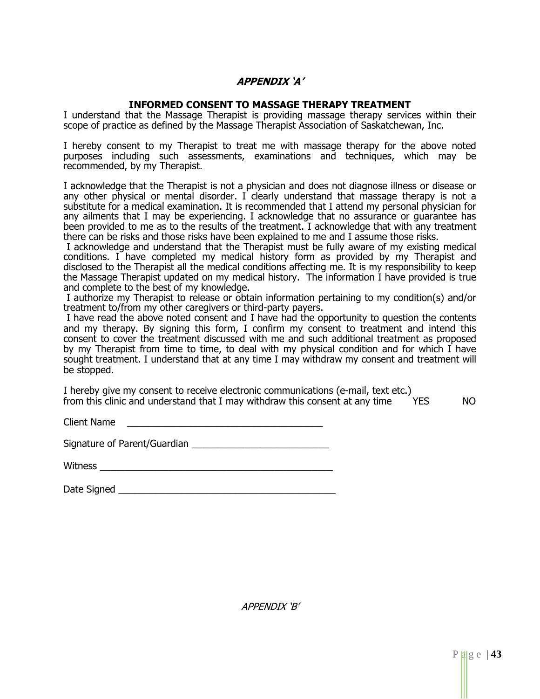#### **APPENDIX 'A'**

#### **INFORMED CONSENT TO MASSAGE THERAPY TREATMENT**

I understand that the Massage Therapist is providing massage therapy services within their scope of practice as defined by the Massage Therapist Association of Saskatchewan, Inc.

I hereby consent to my Therapist to treat me with massage therapy for the above noted purposes including such assessments, examinations and techniques, which may be recommended, by my Therapist.

I acknowledge that the Therapist is not a physician and does not diagnose illness or disease or any other physical or mental disorder. I clearly understand that massage therapy is not a substitute for a medical examination. It is recommended that I attend my personal physician for any ailments that I may be experiencing. I acknowledge that no assurance or guarantee has been provided to me as to the results of the treatment. I acknowledge that with any treatment there can be risks and those risks have been explained to me and I assume those risks.

I acknowledge and understand that the Therapist must be fully aware of my existing medical conditions. I have completed my medical history form as provided by my Therapist and disclosed to the Therapist all the medical conditions affecting me. It is my responsibility to keep the Massage Therapist updated on my medical history. The information I have provided is true and complete to the best of my knowledge.

I authorize my Therapist to release or obtain information pertaining to my condition(s) and/or treatment to/from my other caregivers or third-party payers.

I have read the above noted consent and I have had the opportunity to question the contents and my therapy. By signing this form, I confirm my consent to treatment and intend this consent to cover the treatment discussed with me and such additional treatment as proposed by my Therapist from time to time, to deal with my physical condition and for which I have sought treatment. I understand that at any time I may withdraw my consent and treatment will be stopped.

I hereby give my consent to receive electronic communications (e-mail, text etc.) from this clinic and understand that I may withdraw this consent at any time YES NO

Client Name \_\_\_\_\_\_\_\_\_\_\_\_\_\_\_\_\_\_\_\_\_\_\_\_\_\_\_\_\_\_\_\_\_\_\_\_\_

Signature of Parent/Guardian **Example 2018** 

| Witness |  |
|---------|--|
|         |  |

| Date Signed |  |
|-------------|--|
|             |  |

APPENDIX 'B'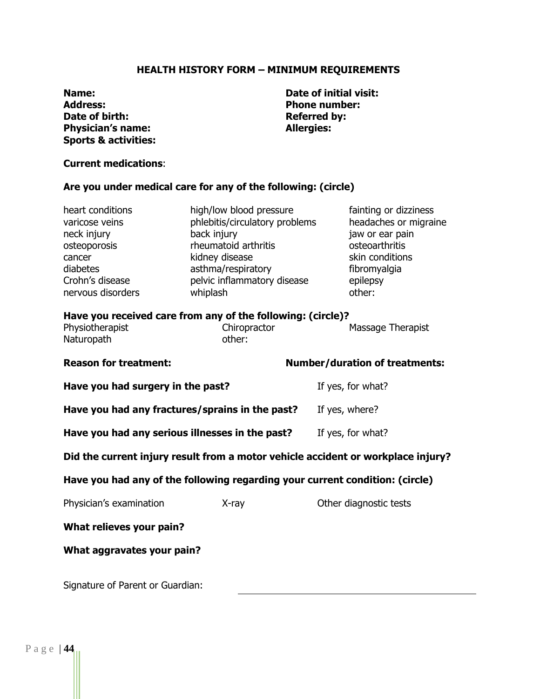#### **HEALTH HISTORY FORM – MINIMUM REQUIREMENTS**

**Name: Date of initial visit: Address: Phone number: Date of birth: Physician's name: Referred by: Referred by: Physician's name: Referred by: Allergies: Physician's name: Sports & activities:**

#### **Current medications**:

#### **Are you under medical care for any of the following: (circle)**

| heart conditions  | high/low blood pressure        | fainting or dizziness |
|-------------------|--------------------------------|-----------------------|
| varicose veins    | phlebitis/circulatory problems | headaches or migraine |
| neck injury       | back injury                    | jaw or ear pain       |
| osteoporosis      | rheumatoid arthritis           | osteoarthritis        |
| cancer            | kidney disease                 | skin conditions       |
| diabetes          | asthma/respiratory             | fibromyalgia          |
| Crohn's disease   | pelvic inflammatory disease    | epilepsy              |
| nervous disorders | whiplash                       | other:                |
|                   |                                |                       |

#### **Have you received care from any of the following: (circle)?**

| Physiotherapist | Chiropractor | <b>Massage Therapist</b> |
|-----------------|--------------|--------------------------|
| Naturopath      | other:       |                          |

| <b>Reason for treatment:</b>                                                     |       | <b>Number/duration of treatments:</b> |  |  |
|----------------------------------------------------------------------------------|-------|---------------------------------------|--|--|
| Have you had surgery in the past?                                                |       | If yes, for what?                     |  |  |
| Have you had any fractures/sprains in the past?                                  |       | If yes, where?                        |  |  |
| Have you had any serious illnesses in the past?                                  |       | If yes, for what?                     |  |  |
| Did the current injury result from a motor vehicle accident or workplace injury? |       |                                       |  |  |
| Have you had any of the following regarding your current condition: (circle)     |       |                                       |  |  |
| Physician's examination                                                          | X-ray | Other diagnostic tests                |  |  |
| What relieves your pain?                                                         |       |                                       |  |  |

#### **What aggravates your pain?**

Signature of Parent or Guardian: